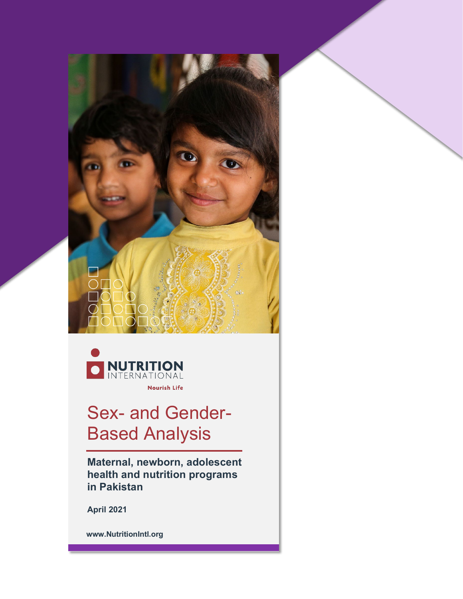



# Sex- and Gender-Based Analysis

**Maternal, newborn, adolescent health and nutrition programs in Pakistan**

**April 2021**

**www.NutritionIntl.org**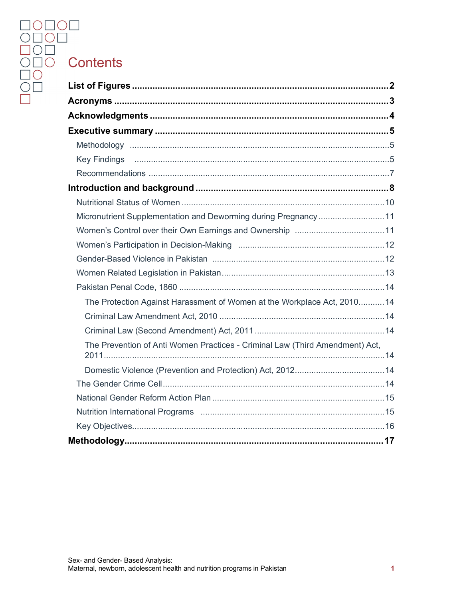# OOOO<br>OOO<br>OOO Contents<br>OO List of Figure<br>OO List of Figure<br>Acronyms .....

| Micronutrient Supplementation and Deworming during Pregnancy11               |  |
|------------------------------------------------------------------------------|--|
|                                                                              |  |
|                                                                              |  |
|                                                                              |  |
|                                                                              |  |
|                                                                              |  |
| The Protection Against Harassment of Women at the Workplace Act, 201014      |  |
|                                                                              |  |
|                                                                              |  |
| The Prevention of Anti Women Practices - Criminal Law (Third Amendment) Act, |  |
|                                                                              |  |
|                                                                              |  |
|                                                                              |  |
|                                                                              |  |
|                                                                              |  |
|                                                                              |  |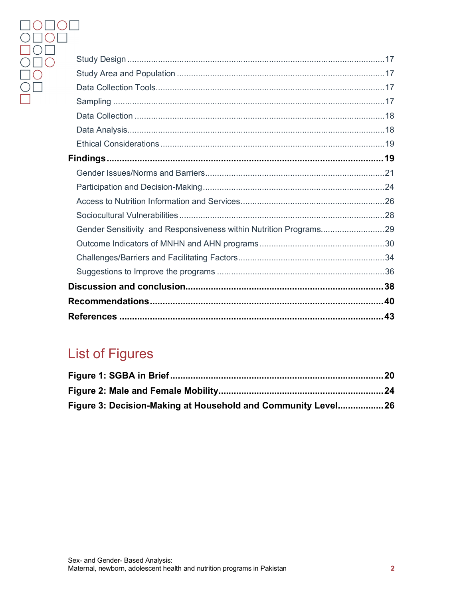| Gender Sensitivity and Responsiveness within Nutrition Programs29 |  |
|-------------------------------------------------------------------|--|
|                                                                   |  |
|                                                                   |  |
|                                                                   |  |
|                                                                   |  |
|                                                                   |  |
|                                                                   |  |

# <span id="page-2-0"></span>**List of Figures**

| Figure 3: Decision-Making at Household and Community Level26 |  |
|--------------------------------------------------------------|--|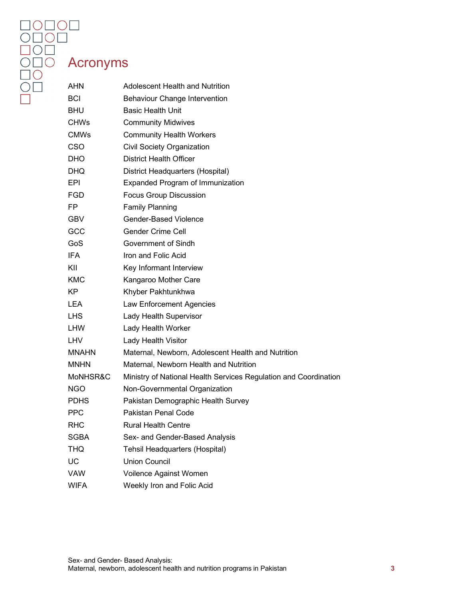## <span id="page-3-0"></span>Acronyms

| <b>AHN</b>   | <b>Adolescent Health and Nutrition</b>                           |
|--------------|------------------------------------------------------------------|
| <b>BCI</b>   | <b>Behaviour Change Intervention</b>                             |
| <b>BHU</b>   | <b>Basic Health Unit</b>                                         |
| <b>CHWs</b>  | <b>Community Midwives</b>                                        |
| <b>CMWs</b>  | <b>Community Health Workers</b>                                  |
| <b>CSO</b>   | Civil Society Organization                                       |
| DHO.         | <b>District Health Officer</b>                                   |
| DHQ.         | District Headquarters (Hospital)                                 |
| EPI.         | <b>Expanded Program of Immunization</b>                          |
| FGD.         | <b>Focus Group Discussion</b>                                    |
| FP.          | <b>Family Planning</b>                                           |
| <b>GBV</b>   | <b>Gender-Based Violence</b>                                     |
| <b>GCC</b>   | Gender Crime Cell                                                |
| GoS          | Government of Sindh                                              |
| IFA.         | Iron and Folic Acid                                              |
| KII          | Key Informant Interview                                          |
| <b>KMC</b>   | Kangaroo Mother Care                                             |
| KP.          | Khyber Pakhtunkhwa                                               |
| LEA.         | Law Enforcement Agencies                                         |
| LHS.         | Lady Health Supervisor                                           |
| LHW          | Lady Health Worker                                               |
| LHV          | Lady Health Visitor                                              |
| <b>MNAHN</b> | Maternal, Newborn, Adolescent Health and Nutrition               |
| <b>MNHN</b>  | Maternal, Newborn Health and Nutrition                           |
| MoNHSR&C     | Ministry of National Health Services Regulation and Coordination |
| <b>NGO</b>   | Non-Governmental Organization                                    |
| <b>PDHS</b>  | Pakistan Demographic Health Survey                               |
| <b>PPC</b>   | Pakistan Penal Code                                              |
| RHC          | <b>Rural Health Centre</b>                                       |
| <b>SGBA</b>  | Sex- and Gender-Based Analysis                                   |
| THQ          | Tehsil Headquarters (Hospital)                                   |
| UC           | <b>Union Council</b>                                             |
| <b>VAW</b>   | Voilence Against Women                                           |
| <b>WIFA</b>  | Weekly Iron and Folic Acid                                       |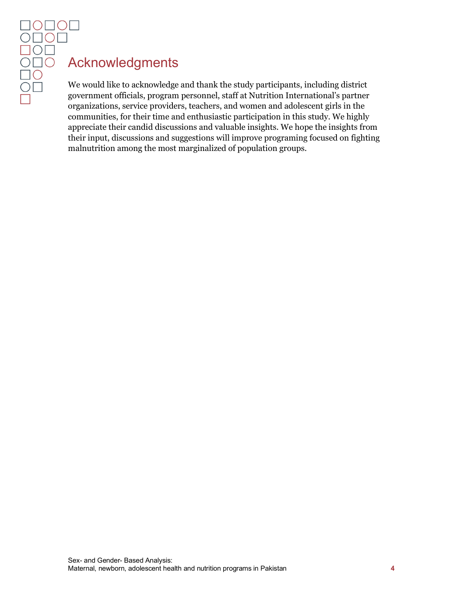# <span id="page-4-0"></span>Acknowledgments

We would like to acknowledge and thank the study participants, including district government officials, program personnel, staff at Nutrition International's partner organizations, service providers, teachers, and women and adolescent girls in the communities, for their time and enthusiastic participation in this study. We highly appreciate their candid discussions and valuable insights. We hope the insights from their input, discussions and suggestions will improve programing focused on fighting malnutrition among the most marginalized of population groups.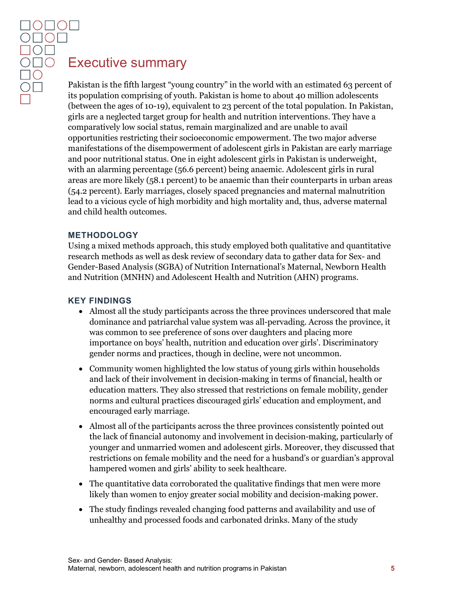### <span id="page-5-0"></span>Executive summary

Pakistan is the fifth largest "young country" in the world with an estimated 63 percent of its population comprising of youth. Pakistan is home to about 40 million adolescents (between the ages of 10-19), equivalent to 23 percent of the total population. In Pakistan, girls are a neglected target group for health and nutrition interventions. They have a comparatively low social status, remain marginalized and are unable to avail opportunities restricting their socioeconomic empowerment. The two major adverse manifestations of the disempowerment of adolescent girls in Pakistan are early marriage and poor nutritional status. One in eight adolescent girls in Pakistan is underweight, with an alarming percentage (56.6 percent) being anaemic. Adolescent girls in rural areas are more likely (58.1 percent) to be anaemic than their counterparts in urban areas (54.2 percent). Early marriages, closely spaced pregnancies and maternal malnutrition lead to a vicious cycle of high morbidity and high mortality and, thus, adverse maternal and child health outcomes.

#### <span id="page-5-1"></span>**METHODOLOGY**

Using a mixed methods approach, this study employed both qualitative and quantitative research methods as well as desk review of secondary data to gather data for Sex- and Gender-Based Analysis (SGBA) of Nutrition International's Maternal, Newborn Health and Nutrition (MNHN) and Adolescent Health and Nutrition (AHN) programs.

#### <span id="page-5-2"></span>**KEY FINDINGS**

- Almost all the study participants across the three provinces underscored that male dominance and patriarchal value system was all-pervading. Across the province, it was common to see preference of sons over daughters and placing more importance on boys' health, nutrition and education over girls'. Discriminatory gender norms and practices, though in decline, were not uncommon.
- Community women highlighted the low status of young girls within households and lack of their involvement in decision-making in terms of financial, health or education matters. They also stressed that restrictions on female mobility, gender norms and cultural practices discouraged girls' education and employment, and encouraged early marriage.
- Almost all of the participants across the three provinces consistently pointed out the lack of financial autonomy and involvement in decision-making, particularly of younger and unmarried women and adolescent girls. Moreover, they discussed that restrictions on female mobility and the need for a husband's or guardian's approval hampered women and girls' ability to seek healthcare.
- The quantitative data corroborated the qualitative findings that men were more likely than women to enjoy greater social mobility and decision-making power.
- The study findings revealed changing food patterns and availability and use of unhealthy and processed foods and carbonated drinks. Many of the study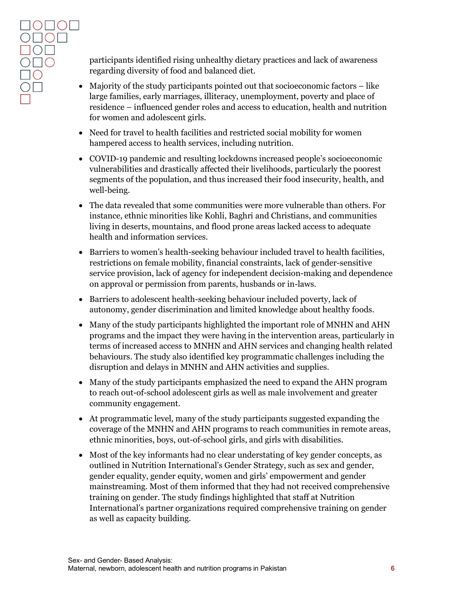participants identified rising unhealthy dietary practices and lack of awareness regarding diversity of food and balanced diet.

- Majority of the study participants pointed out that socioeconomic factors like large families, early marriages, illiteracy, unemployment, poverty and place of residence – influenced gender roles and access to education, health and nutrition for women and adolescent girls.
- Need for travel to health facilities and restricted social mobility for women hampered access to health services, including nutrition.
- COVID-19 pandemic and resulting lockdowns increased people's socioeconomic vulnerabilities and drastically affected their livelihoods, particularly the poorest segments of the population, and thus increased their food insecurity, health, and well-being.
- The data revealed that some communities were more vulnerable than others. For instance, ethnic minorities like Kohli, Baghri and Christians, and communities living in deserts, mountains, and flood prone areas lacked access to adequate health and information services.
- Barriers to women's health-seeking behaviour included travel to health facilities, restrictions on female mobility, financial constraints, lack of gender-sensitive service provision, lack of agency for independent decision-making and dependence on approval or permission from parents, husbands or in-laws.
- Barriers to adolescent health-seeking behaviour included poverty, lack of autonomy, gender discrimination and limited knowledge about healthy foods.
- Many of the study participants highlighted the important role of MNHN and AHN programs and the impact they were having in the intervention areas, particularly in terms of increased access to MNHN and AHN services and changing health related behaviours. The study also identified key programmatic challenges including the disruption and delays in MNHN and AHN activities and supplies.
- Many of the study participants emphasized the need to expand the AHN program to reach out-of-school adolescent girls as well as male involvement and greater community engagement.
- At programmatic level, many of the study participants suggested expanding the coverage of the MNHN and AHN programs to reach communities in remote areas, ethnic minorities, boys, out-of-school girls, and girls with disabilities.
- Most of the key informants had no clear understating of key gender concepts, as outlined in Nutrition International's Gender Strategy, such as sex and gender, gender equality, gender equity, women and girls' empowerment and gender mainstreaming. Most of them informed that they had not received comprehensive training on gender. The study findings highlighted that staff at Nutrition International's partner organizations required comprehensive training on gender as well as capacity building.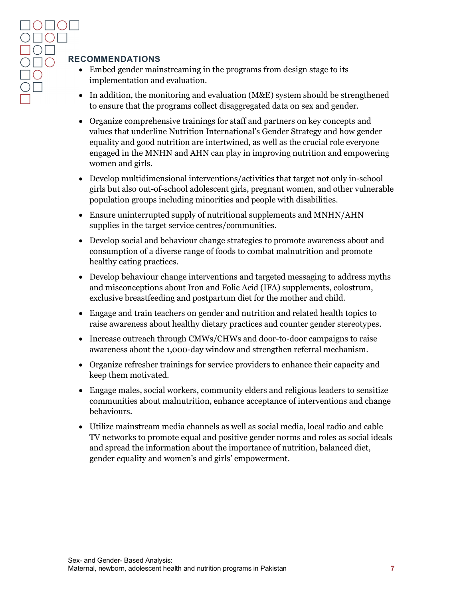#### <span id="page-7-0"></span>**RECOMMENDATIONS**

- Embed gender mainstreaming in the programs from design stage to its implementation and evaluation.
- In addition, the monitoring and evaluation (M&E) system should be strengthened to ensure that the programs collect disaggregated data on sex and gender.
- Organize comprehensive trainings for staff and partners on key concepts and values that underline Nutrition International's Gender Strategy and how gender equality and good nutrition are intertwined, as well as the crucial role everyone engaged in the MNHN and AHN can play in improving nutrition and empowering women and girls.
- Develop multidimensional interventions/activities that target not only in-school girls but also out-of-school adolescent girls, pregnant women, and other vulnerable population groups including minorities and people with disabilities.
- Ensure uninterrupted supply of nutritional supplements and MNHN/AHN supplies in the target service centres/communities.
- Develop social and behaviour change strategies to promote awareness about and consumption of a diverse range of foods to combat malnutrition and promote healthy eating practices.
- Develop behaviour change interventions and targeted messaging to address myths and misconceptions about Iron and Folic Acid (IFA) supplements, colostrum, exclusive breastfeeding and postpartum diet for the mother and child.
- Engage and train teachers on gender and nutrition and related health topics to raise awareness about healthy dietary practices and counter gender stereotypes.
- Increase outreach through CMWs/CHWs and door-to-door campaigns to raise awareness about the 1,000-day window and strengthen referral mechanism.
- Organize refresher trainings for service providers to enhance their capacity and keep them motivated.
- Engage males, social workers, community elders and religious leaders to sensitize communities about malnutrition, enhance acceptance of interventions and change behaviours.
- <span id="page-7-1"></span>• Utilize mainstream media channels as well as social media, local radio and cable TV networks to promote equal and positive gender norms and roles as social ideals and spread the information about the importance of nutrition, balanced diet, gender equality and women's and girls' empowerment.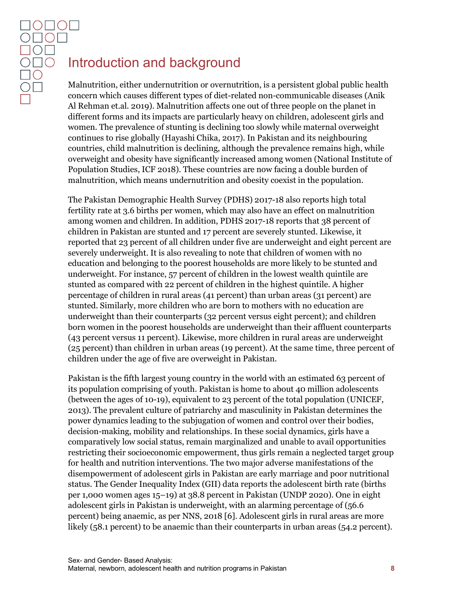# Introduction and background

Malnutrition, either undernutrition or overnutrition, is a persistent global public health concern which causes different types of diet-related non-communicable diseases (Anik Al Rehman et.al. 2019). Malnutrition affects one out of three people on the planet in different forms and its impacts are particularly heavy on children, adolescent girls and women. The prevalence of stunting is declining too slowly while maternal overweight continues to rise globally (Hayashi Chika, 2017). In Pakistan and its neighbouring countries, child malnutrition is declining, although the prevalence remains high, while overweight and obesity have significantly increased among women (National Institute of Population Studies, ICF 2018). These countries are now facing a double burden of malnutrition, which means undernutrition and obesity coexist in the population.

The Pakistan Demographic Health Survey (PDHS) 2017-18 also reports high total fertility rate at 3.6 births per women, which may also have an effect on malnutrition among women and children. In addition, PDHS 2017-18 reports that 38 percent of children in Pakistan are stunted and 17 percent are severely stunted. Likewise, it reported that 23 percent of all children under five are underweight and eight percent are severely underweight. It is also revealing to note that children of women with no education and belonging to the poorest households are more likely to be stunted and underweight. For instance, 57 percent of children in the lowest wealth quintile are stunted as compared with 22 percent of children in the highest quintile. A higher percentage of children in rural areas (41 percent) than urban areas (31 percent) are stunted. Similarly, more children who are born to mothers with no education are underweight than their counterparts (32 percent versus eight percent); and children born women in the poorest households are underweight than their affluent counterparts (43 percent versus 11 percent). Likewise, more children in rural areas are underweight (25 percent) than children in urban areas (19 percent). At the same time, three percent of children under the age of five are overweight in Pakistan.

Pakistan is the fifth largest young country in the world with an estimated 63 percent of its population comprising of youth. Pakistan is home to about 40 million adolescents (between the ages of 10-19), equivalent to 23 percent of the total population (UNICEF, 2013). The prevalent culture of patriarchy and masculinity in Pakistan determines the power dynamics leading to the subjugation of women and control over their bodies, decision-making, mobility and relationships. In these social dynamics, girls have a comparatively low social status, remain marginalized and unable to avail opportunities restricting their socioeconomic empowerment, thus girls remain a neglected target group for health and nutrition interventions. The two major adverse manifestations of the disempowerment of adolescent girls in Pakistan are early marriage and poor nutritional status. The Gender Inequality Index (GII) data reports the adolescent birth rate (births per 1,000 women ages 15–19) at 38.8 percent in Pakistan (UNDP 2020). One in eight adolescent girls in Pakistan is underweight, with an alarming percentage of (56.6 percent) being anaemic, as per NNS, 2018 [6]. Adolescent girls in rural areas are more likely (58.1 percent) to be anaemic than their counterparts in urban areas (54.2 percent).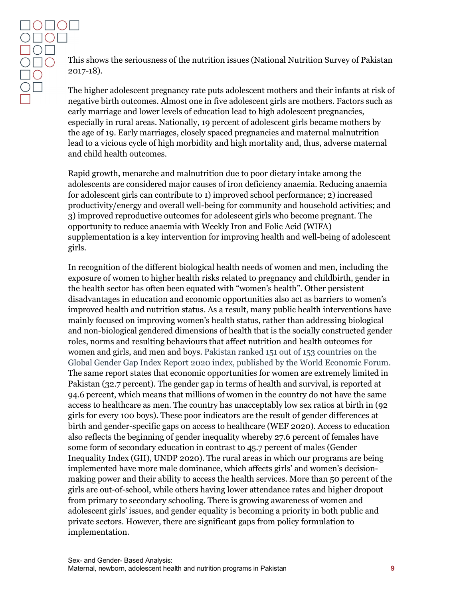This shows the seriousness of the nutrition issues (National Nutrition Survey of Pakistan 2017-18).

The higher adolescent pregnancy rate puts adolescent mothers and their infants at risk of negative birth outcomes. Almost one in five adolescent girls are mothers. Factors such as early marriage and lower levels of education lead to high adolescent pregnancies, especially in rural areas. Nationally, 19 percent of adolescent girls became mothers by the age of 19. Early marriages, closely spaced pregnancies and maternal malnutrition lead to a vicious cycle of high morbidity and high mortality and, thus, adverse maternal and child health outcomes.

Rapid growth, menarche and malnutrition due to poor dietary intake among the adolescents are considered major causes of iron deficiency anaemia. Reducing anaemia for adolescent girls can contribute to 1) improved school performance; 2) increased productivity/energy and overall well-being for community and household activities; and 3) improved reproductive outcomes for adolescent girls who become pregnant. The opportunity to reduce anaemia with Weekly Iron and Folic Acid (WIFA) supplementation is a key intervention for improving health and well-being of adolescent girls.

In recognition of the different biological health needs of women and men, including the exposure of women to higher health risks related to pregnancy and childbirth, gender in the health sector has often been equated with "women's health". Other persistent disadvantages in education and economic opportunities also act as barriers to women's improved health and nutrition status. As a result, many public health interventions have mainly focused on improving women's health status, rather than addressing biological and non-biological gendered dimensions of health that is the socially constructed gender roles, norms and resulting behaviours that affect nutrition and health outcomes for women and girls, and men and boys. Pakistan ranked 151 out of 153 countries on the Global Gender Gap Index Report 2020 index, published by the World Economic Forum. The same report states that economic opportunities for women are extremely limited in Pakistan (32.7 percent). The gender gap in terms of health and survival, is reported at 94.6 percent, which means that millions of women in the country do not have the same access to healthcare as men. The country has unacceptably low sex ratios at birth in (92 girls for every 100 boys). These poor indicators are the result of gender differences at birth and gender-specific gaps on access to healthcare (WEF 2020). Access to education also reflects the beginning of gender inequality whereby 27.6 percent of females have some form of secondary education in contrast to 45.7 percent of males (Gender Inequality Index (GII), UNDP 2020). The rural areas in which our programs are being implemented have more male dominance, which affects girls' and women's decisionmaking power and their ability to access the health services. More than 50 percent of the girls are out-of-school, while others having lower attendance rates and higher dropout from primary to secondary schooling. There is growing awareness of women and adolescent girls' issues, and gender equality is becoming a priority in both public and private sectors. However, there are significant gaps from policy formulation to implementation.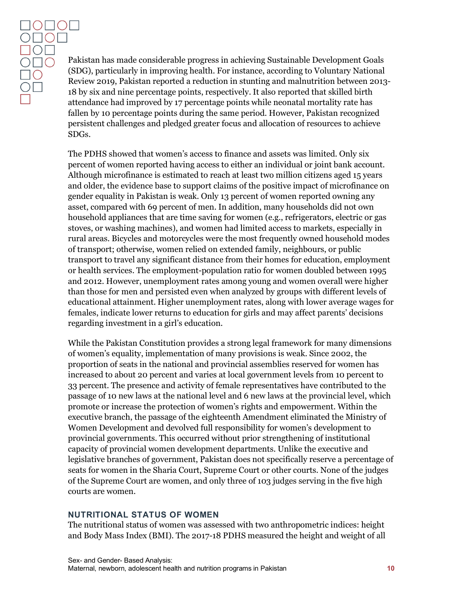DOL  $\overline{O}$  $\overline{O}$  $\Box$ 

Pakistan has made considerable progress in achieving Sustainable Development Goals (SDG), particularly in improving health. For instance, according to Voluntary National Review 2019, Pakistan reported a reduction in stunting and malnutrition between 2013- 18 by six and nine percentage points, respectively. It also reported that skilled birth attendance had improved by 17 percentage points while neonatal mortality rate has fallen by 10 percentage points during the same period. However, Pakistan recognized persistent challenges and pledged greater focus and allocation of resources to achieve SDGs.

The PDHS showed that women's access to finance and assets was limited. Only six percent of women reported having access to either an individual or joint bank account. Although microfinance is estimated to reach at least two million citizens aged 15 years and older, the evidence base to support claims of the positive impact of microfinance on gender equality in Pakistan is weak. Only 13 percent of women reported owning any asset, compared with 69 percent of men. In addition, many households did not own household appliances that are time saving for women (e.g., refrigerators, electric or gas stoves, or washing machines), and women had limited access to markets, especially in rural areas. Bicycles and motorcycles were the most frequently owned household modes of transport; otherwise, women relied on extended family, neighbours, or public transport to travel any significant distance from their homes for education, employment or health services. The employment-population ratio for women doubled between 1995 and 2012. However, unemployment rates among young and women overall were higher than those for men and persisted even when analyzed by groups with different levels of educational attainment. Higher unemployment rates, along with lower average wages for females, indicate lower returns to education for girls and may affect parents' decisions regarding investment in a girl's education.

While the Pakistan Constitution provides a strong legal framework for many dimensions of women's equality, implementation of many provisions is weak. Since 2002, the proportion of seats in the national and provincial assemblies reserved for women has increased to about 20 percent and varies at local government levels from 10 percent to 33 percent. The presence and activity of female representatives have contributed to the passage of 10 new laws at the national level and 6 new laws at the provincial level, which promote or increase the protection of women's rights and empowerment. Within the executive branch, the passage of the eighteenth Amendment eliminated the Ministry of Women Development and devolved full responsibility for women's development to provincial governments. This occurred without prior strengthening of institutional capacity of provincial women development departments. Unlike the executive and legislative branches of government, Pakistan does not specifically reserve a percentage of seats for women in the Sharia Court, Supreme Court or other courts. None of the judges of the Supreme Court are women, and only three of 103 judges serving in the five high courts are women.

#### <span id="page-10-0"></span>**NUTRITIONAL STATUS OF WOMEN**

The nutritional status of women was assessed with two anthropometric indices: height and Body Mass Index (BMI). The 2017-18 PDHS measured the height and weight of all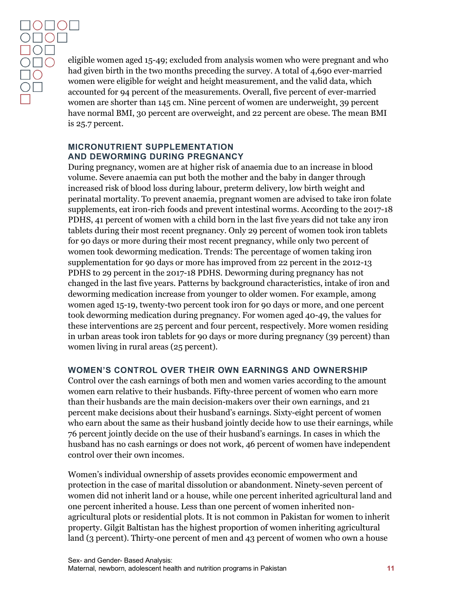eligible women aged 15-49; excluded from analysis women who were pregnant and who had given birth in the two months preceding the survey. A total of 4,690 ever-married women were eligible for weight and height measurement, and the valid data, which accounted for 94 percent of the measurements. Overall, five percent of ever-married women are shorter than 145 cm. Nine percent of women are underweight, 39 percent have normal BMI, 30 percent are overweight, and 22 percent are obese. The mean BMI is 25.7 percent.

#### <span id="page-11-0"></span>**MICRONUTRIENT SUPPLEMENTATION AND DEWORMING DURING PREGNANCY**

During pregnancy, women are at higher risk of anaemia due to an increase in blood volume. Severe anaemia can put both the mother and the baby in danger through increased risk of blood loss during labour, preterm delivery, low birth weight and perinatal mortality. To prevent anaemia, pregnant women are advised to take iron folate supplements, eat iron-rich foods and prevent intestinal worms. According to the 2017-18 PDHS, 41 percent of women with a child born in the last five years did not take any iron tablets during their most recent pregnancy. Only 29 percent of women took iron tablets for 90 days or more during their most recent pregnancy, while only two percent of women took deworming medication. Trends: The percentage of women taking iron supplementation for 90 days or more has improved from 22 percent in the 2012-13 PDHS to 29 percent in the 2017-18 PDHS. Deworming during pregnancy has not changed in the last five years. Patterns by background characteristics, intake of iron and deworming medication increase from younger to older women. For example, among women aged 15-19, twenty-two percent took iron for 90 days or more, and one percent took deworming medication during pregnancy. For women aged 40-49, the values for these interventions are 25 percent and four percent, respectively. More women residing in urban areas took iron tablets for 90 days or more during pregnancy (39 percent) than women living in rural areas (25 percent).

#### <span id="page-11-1"></span>**WOMEN'S CONTROL OVER THEIR OWN EARNINGS AND OWNERSHIP**

Control over the cash earnings of both men and women varies according to the amount women earn relative to their husbands. Fifty-three percent of women who earn more than their husbands are the main decision-makers over their own earnings, and 21 percent make decisions about their husband's earnings. Sixty-eight percent of women who earn about the same as their husband jointly decide how to use their earnings, while 76 percent jointly decide on the use of their husband's earnings. In cases in which the husband has no cash earnings or does not work, 46 percent of women have independent control over their own incomes.

Women's individual ownership of assets provides economic empowerment and protection in the case of marital dissolution or abandonment. Ninety-seven percent of women did not inherit land or a house, while one percent inherited agricultural land and one percent inherited a house. Less than one percent of women inherited nonagricultural plots or residential plots. It is not common in Pakistan for women to inherit property. Gilgit Baltistan has the highest proportion of women inheriting agricultural land (3 percent). Thirty-one percent of men and 43 percent of women who own a house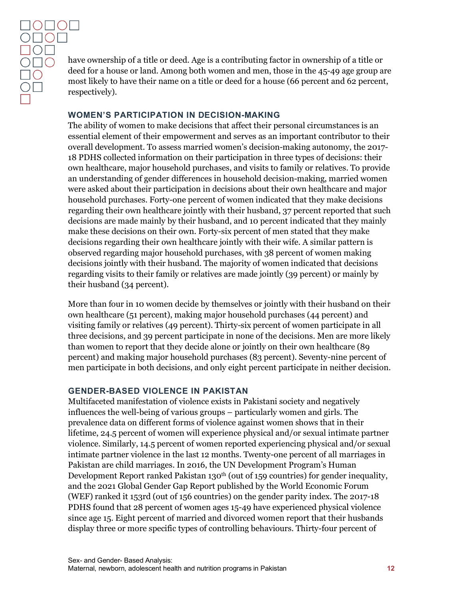have ownership of a title or deed. Age is a contributing factor in ownership of a title or deed for a house or land. Among both women and men, those in the 45-49 age group are most likely to have their name on a title or deed for a house (66 percent and 62 percent, respectively).

#### <span id="page-12-0"></span>**WOMEN'S PARTICIPATION IN DECISION-MAKING**

The ability of women to make decisions that affect their personal circumstances is an essential element of their empowerment and serves as an important contributor to their overall development. To assess married women's decision-making autonomy, the 2017- 18 PDHS collected information on their participation in three types of decisions: their own healthcare, major household purchases, and visits to family or relatives. To provide an understanding of gender differences in household decision-making, married women were asked about their participation in decisions about their own healthcare and major household purchases. Forty-one percent of women indicated that they make decisions regarding their own healthcare jointly with their husband, 37 percent reported that such decisions are made mainly by their husband, and 10 percent indicated that they mainly make these decisions on their own. Forty-six percent of men stated that they make decisions regarding their own healthcare jointly with their wife. A similar pattern is observed regarding major household purchases, with 38 percent of women making decisions jointly with their husband. The majority of women indicated that decisions regarding visits to their family or relatives are made jointly (39 percent) or mainly by their husband (34 percent).

More than four in 10 women decide by themselves or jointly with their husband on their own healthcare (51 percent), making major household purchases (44 percent) and visiting family or relatives (49 percent). Thirty-six percent of women participate in all three decisions, and 39 percent participate in none of the decisions. Men are more likely than women to report that they decide alone or jointly on their own healthcare (89 percent) and making major household purchases (83 percent). Seventy-nine percent of men participate in both decisions, and only eight percent participate in neither decision.

#### <span id="page-12-1"></span>**GENDER-BASED VIOLENCE IN PAKISTAN**

Multifaceted manifestation of violence exists in Pakistani society and negatively influences the well-being of various groups – particularly women and girls. The prevalence data on different forms of violence against women shows that in their lifetime, 24.5 percent of women will experience physical and/or sexual intimate partner violence. Similarly, 14.5 percent of women reported experiencing physical and/or sexual intimate partner violence in the last 12 months. Twenty-one percent of all marriages in Pakistan are child marriages. In 2016, the UN Development Program's Human Development Report ranked Pakistan 130<sup>th</sup> (out of 159 countries) for gender inequality, and the 2021 Global Gender Gap Report published by the World Economic Forum (WEF) ranked it 153rd (out of 156 countries) on the gender parity index. The 2017-18 PDHS found that 28 percent of women ages 15-49 have experienced physical violence since age 15. Eight percent of married and divorced women report that their husbands display three or more specific types of controlling behaviours. Thirty-four percent of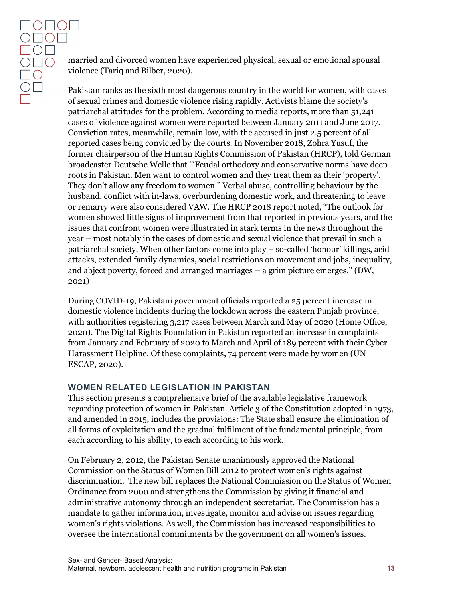married and divorced women have experienced physical, sexual or emotional spousal violence (Tariq and Bilber, 2020).

Pakistan ranks as the sixth most dangerous country in the world for women, with cases of sexual crimes and domestic violence rising rapidly. Activists blame the society's patriarchal attitudes for the problem. According to media reports, more than 51,241 cases of violence against women were reported between January 2011 and June 2017. Conviction rates, meanwhile, remain low, with the accused in just 2.5 percent of all reported cases being convicted by the courts. In November 2018, Zohra Yusuf, the former chairperson of the Human Rights Commission of Pakistan (HRCP), told German broadcaster Deutsche Welle that '"Feudal orthodoxy and conservative norms have deep roots in Pakistan. Men want to control women and they treat them as their 'property'. They don't allow any freedom to women." Verbal abuse, controlling behaviour by the husband, conflict with in-laws, overburdening domestic work, and threatening to leave or remarry were also considered VAW. The HRCP 2018 report noted, "The outlook for women showed little signs of improvement from that reported in previous years, and the issues that confront women were illustrated in stark terms in the news throughout the year – most notably in the cases of domestic and sexual violence that prevail in such a patriarchal society. When other factors come into play – so-called 'honour' killings, acid attacks, extended family dynamics, social restrictions on movement and jobs, inequality, and abject poverty, forced and arranged marriages – a grim picture emerges." (DW, 2021)

During COVID-19, Pakistani government officials reported a 25 percent increase in domestic violence incidents during the lockdown across the eastern Punjab province, with authorities registering 3,217 cases between March and May of 2020 (Home Office, 2020). The Digital Rights Foundation in Pakistan reported an increase in complaints from January and February of 2020 to March and April of 189 percent with their Cyber Harassment Helpline. Of these complaints, 74 percent were made by women (UN ESCAP, 2020).

#### <span id="page-13-0"></span>**WOMEN RELATED LEGISLATION IN PAKISTAN**

This section presents a comprehensive brief of the available legislative framework regarding protection of women in Pakistan. Article 3 of the Constitution adopted in 1973, and amended in 2015, includes the provisions: The State shall ensure the elimination of all forms of exploitation and the gradual fulfilment of the fundamental principle, from each according to his ability, to each according to his work.

On February 2, 2012, the Pakistan Senate unanimously approved the National Commission on the Status of Women Bill 2012 to protect women's rights against discrimination. The new bill replaces the National Commission on the Status of Women Ordinance from 2000 and strengthens the Commission by giving it financial and administrative autonomy through an independent secretariat. The Commission has a mandate to gather information, investigate, monitor and advise on issues regarding women's rights violations. As well, the Commission has increased responsibilities to oversee the international commitments by the government on all women's issues.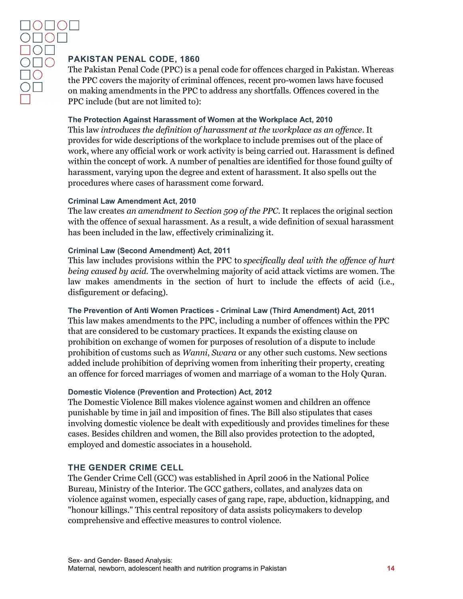#### <span id="page-14-0"></span>**PAKISTAN PENAL CODE, 1860**

The Pakistan Penal Code (PPC) is a penal code for offences charged in Pakistan. Whereas the PPC covers the majority of criminal offences, recent pro-women laws have focused on making amendments in the PPC to address any shortfalls. Offences covered in the PPC include (but are not limited to):

#### <span id="page-14-1"></span>**The Protection Against Harassment of Women at the Workplace Act, 2010**

This law *introduces the definition of harassment at the workplace as an offence*. It provides for wide descriptions of the workplace to include premises out of the place of work, where any official work or work activity is being carried out. Harassment is defined within the concept of work. A number of penalties are identified for those found guilty of harassment, varying upon the degree and extent of harassment. It also spells out the procedures where cases of harassment come forward.

#### <span id="page-14-2"></span>**Criminal Law Amendment Act, 2010**

The law creates *an amendment to Section 509 of the PPC.* It replaces the original section with the offence of sexual harassment. As a result, a wide definition of sexual harassment has been included in the law, effectively criminalizing it.

#### <span id="page-14-3"></span>**Criminal Law (Second Amendment) Act, 2011**

This law includes provisions within the PPC to *specifically deal with the offence of hurt being caused by acid.* The overwhelming majority of acid attack victims are women. The law makes amendments in the section of hurt to include the effects of acid (i.e., disfigurement or defacing).

#### <span id="page-14-4"></span>**The Prevention of Anti Women Practices - Criminal Law (Third Amendment) Act, 2011** This law makes amendments to the PPC, including a number of offences within the PPC

that are considered to be customary practices. It expands the existing clause on prohibition on exchange of women for purposes of resolution of a dispute to include prohibition of customs such as *Wanni*, *Swara* or any other such customs. New sections added include prohibition of depriving women from inheriting their property, creating an offence for forced marriages of women and marriage of a woman to the Holy Quran.

#### <span id="page-14-5"></span>**Domestic Violence (Prevention and Protection) Act, 2012**

The Domestic Violence Bill makes violence against women and children an offence punishable by time in jail and imposition of fines. The Bill also stipulates that cases involving domestic violence be dealt with expeditiously and provides timelines for these cases. Besides children and women, the Bill also provides protection to the adopted, employed and domestic associates in a household.

#### <span id="page-14-6"></span>**THE GENDER CRIME CELL**

The Gender Crime Cell (GCC) was established in April 2006 in the National Police Bureau, Ministry of the Interior. The GCC gathers, collates, and analyzes data on violence against women, especially cases of gang rape, rape, abduction, kidnapping, and "honour killings." This central repository of data assists policymakers to develop comprehensive and effective measures to control violence.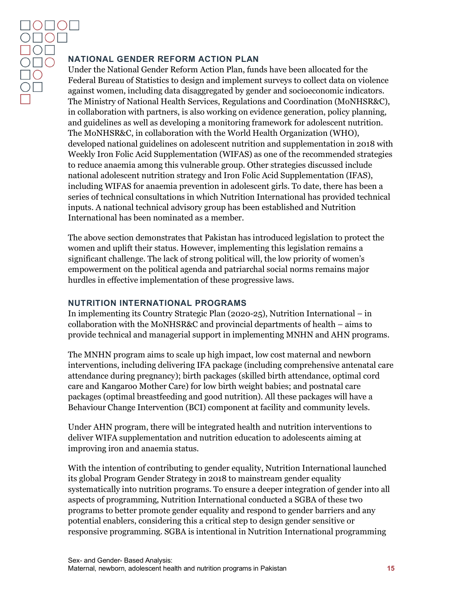#### <span id="page-15-0"></span>**NATIONAL GENDER REFORM ACTION PLAN**

Under the National Gender Reform Action Plan, funds have been allocated for the Federal Bureau of Statistics to design and implement surveys to collect data on violence against women, including data disaggregated by gender and socioeconomic indicators. The Ministry of National Health Services, Regulations and Coordination (MoNHSR&C), in collaboration with partners, is also working on evidence generation, policy planning, and guidelines as well as developing a monitoring framework for adolescent nutrition. The MoNHSR&C, in collaboration with the World Health Organization (WHO), developed national guidelines on adolescent nutrition and supplementation in 2018 with Weekly Iron Folic Acid Supplementation (WIFAS) as one of the recommended strategies to reduce anaemia among this vulnerable group. Other strategies discussed include national adolescent nutrition strategy and Iron Folic Acid Supplementation (IFAS), including WIFAS for anaemia prevention in adolescent girls. To date, there has been a series of technical consultations in which Nutrition International has provided technical inputs. A national technical advisory group has been established and Nutrition International has been nominated as a member.

The above section demonstrates that Pakistan has introduced legislation to protect the women and uplift their status. However, implementing this legislation remains a significant challenge. The lack of strong political will, the low priority of women's empowerment on the political agenda and patriarchal social norms remains major hurdles in effective implementation of these progressive laws.

#### <span id="page-15-1"></span>**NUTRITION INTERNATIONAL PROGRAMS**

In implementing its Country Strategic Plan (2020-25), Nutrition International – in collaboration with the MoNHSR&C and provincial departments of health – aims to provide technical and managerial support in implementing MNHN and AHN programs.

The MNHN program aims to scale up high impact, low cost maternal and newborn interventions, including delivering IFA package (including comprehensive antenatal care attendance during pregnancy); birth packages (skilled birth attendance, optimal cord care and Kangaroo Mother Care) for low birth weight babies; and postnatal care packages (optimal breastfeeding and good nutrition). All these packages will have a Behaviour Change Intervention (BCI) component at facility and community levels.

Under AHN program, there will be integrated health and nutrition interventions to deliver WIFA supplementation and nutrition education to adolescents aiming at improving iron and anaemia status.

With the intention of contributing to gender equality, Nutrition International launched its global Program Gender Strategy in 2018 to mainstream gender equality systematically into nutrition programs. To ensure a deeper integration of gender into all aspects of programming, Nutrition International conducted a SGBA of these two programs to better promote gender equality and respond to gender barriers and any potential enablers, considering this a critical step to design gender sensitive or responsive programming. SGBA is intentional in Nutrition International programming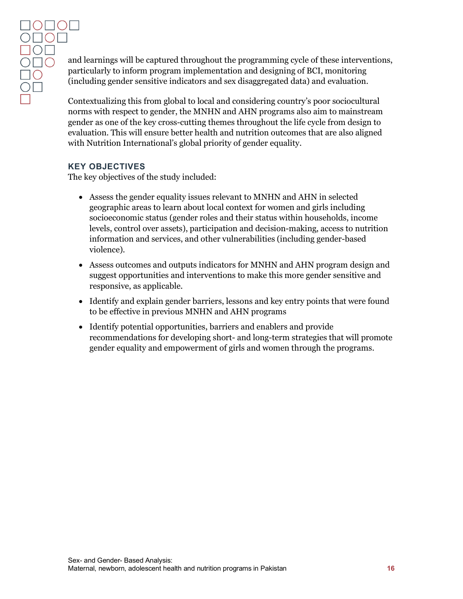and learnings will be captured throughout the programming cycle of these interventions, particularly to inform program implementation and designing of BCI, monitoring (including gender sensitive indicators and sex disaggregated data) and evaluation.

Contextualizing this from global to local and considering country's poor sociocultural norms with respect to gender, the MNHN and AHN programs also aim to mainstream gender as one of the key cross-cutting themes throughout the life cycle from design to evaluation. This will ensure better health and nutrition outcomes that are also aligned with Nutrition International's global priority of gender equality.

#### <span id="page-16-0"></span>**KEY OBJECTIVES**

The key objectives of the study included:

- Assess the gender equality issues relevant to MNHN and AHN in selected geographic areas to learn about local context for women and girls including socioeconomic status (gender roles and their status within households, income levels, control over assets), participation and decision-making, access to nutrition information and services, and other vulnerabilities (including gender-based violence).
- Assess outcomes and outputs indicators for MNHN and AHN program design and suggest opportunities and interventions to make this more gender sensitive and responsive, as applicable.
- Identify and explain gender barriers, lessons and key entry points that were found to be effective in previous MNHN and AHN programs
- Identify potential opportunities, barriers and enablers and provide recommendations for developing short- and long-term strategies that will promote gender equality and empowerment of girls and women through the programs.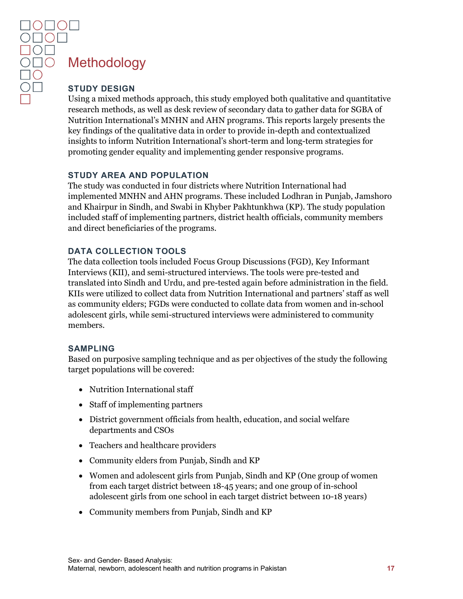# <span id="page-17-0"></span>**Methodology**

<span id="page-17-1"></span>Using a mixed methods approach, this study employed both qualitative and quantitative research methods, as well as desk review of secondary data to gather data for SGBA of Nutrition International's MNHN and AHN programs. This reports largely presents the key findings of the qualitative data in order to provide in-depth and contextualized insights to inform Nutrition International's short-term and long-term strategies for promoting gender equality and implementing gender responsive programs.

#### <span id="page-17-2"></span>**STUDY AREA AND POPULATION**

The study was conducted in four districts where Nutrition International had implemented MNHN and AHN programs. These included Lodhran in Punjab, Jamshoro and Khairpur in Sindh, and Swabi in Khyber Pakhtunkhwa (KP). The study population included staff of implementing partners, district health officials, community members and direct beneficiaries of the programs.

#### <span id="page-17-3"></span>**DATA COLLECTION TOOLS**

The data collection tools included Focus Group Discussions (FGD), Key Informant Interviews (KII), and semi-structured interviews. The tools were pre-tested and translated into Sindh and Urdu, and pre-tested again before administration in the field. KIIs were utilized to collect data from Nutrition International and partners' staff as well as community elders; FGDs were conducted to collate data from women and in-school adolescent girls, while semi-structured interviews were administered to community members.

#### <span id="page-17-4"></span>**SAMPLING**

Based on purposive sampling technique and as per objectives of the study the following target populations will be covered:

- Nutrition International staff
- Staff of implementing partners
- District government officials from health, education, and social welfare departments and CSOs
- Teachers and healthcare providers
- Community elders from Punjab, Sindh and KP
- Women and adolescent girls from Punjab, Sindh and KP (One group of women from each target district between 18-45 years; and one group of in-school adolescent girls from one school in each target district between 10-18 years)
- Community members from Punjab, Sindh and KP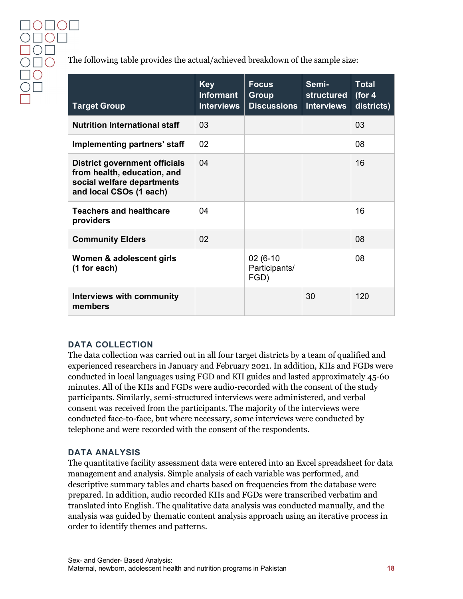The following table provides the actual/achieved breakdown of the sample size:

| <b>Target Group</b>                                                                                                          | <b>Key</b><br><b>Informant</b><br><b>Interviews</b> | <b>Focus</b><br><b>Group</b><br><b>Discussions</b> | Semi-<br>structured<br><b>Interviews</b> | <b>Total</b><br>(for $4$<br>districts) |
|------------------------------------------------------------------------------------------------------------------------------|-----------------------------------------------------|----------------------------------------------------|------------------------------------------|----------------------------------------|
| <b>Nutrition International staff</b>                                                                                         | 03                                                  |                                                    |                                          | 03                                     |
| Implementing partners' staff                                                                                                 | 02                                                  |                                                    |                                          | 08                                     |
| <b>District government officials</b><br>from health, education, and<br>social welfare departments<br>and local CSOs (1 each) | 04                                                  |                                                    |                                          | 16                                     |
| <b>Teachers and healthcare</b><br>providers                                                                                  | 04                                                  |                                                    |                                          | 16                                     |
| <b>Community Elders</b>                                                                                                      | 02                                                  |                                                    |                                          | 08                                     |
| Women & adolescent girls<br>(1 for each)                                                                                     |                                                     | 02 (6-10)<br>Participants/<br>FGD)                 |                                          | 08                                     |
| Interviews with community<br>members                                                                                         |                                                     |                                                    | 30                                       | 120                                    |

#### <span id="page-18-0"></span>**DATA COLLECTION**

The data collection was carried out in all four target districts by a team of qualified and experienced researchers in January and February 2021. In addition, KIIs and FGDs were conducted in local languages using FGD and KII guides and lasted approximately 45-60 minutes. All of the KIIs and FGDs were audio-recorded with the consent of the study participants. Similarly, semi-structured interviews were administered, and verbal consent was received from the participants. The majority of the interviews were conducted face-to-face, but where necessary, some interviews were conducted by telephone and were recorded with the consent of the respondents.

#### <span id="page-18-1"></span>**DATA ANALYSIS**

The quantitative facility assessment data were entered into an Excel spreadsheet for data management and analysis. Simple analysis of each variable was performed, and descriptive summary tables and charts based on frequencies from the database were prepared. In addition, audio recorded KIIs and FGDs were transcribed verbatim and translated into English. The qualitative data analysis was conducted manually, and the analysis was guided by thematic content analysis approach using an iterative process in order to identify themes and patterns.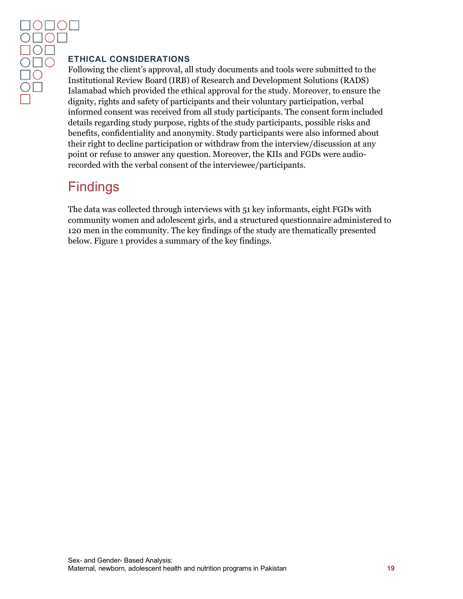#### <span id="page-19-0"></span>**ETHICAL CONSIDERATIONS**

Following the client's approval, all study documents and tools were submitted to the Institutional Review Board (IRB) of Research and Development Solutions (RADS) Islamabad which provided the ethical approval for the study. Moreover, to ensure the dignity, rights and safety of participants and their voluntary participation, verbal informed consent was received from all study participants. The consent form included details regarding study purpose, rights of the study participants, possible risks and benefits, confidentiality and anonymity. Study participants were also informed about their right to decline participation or withdraw from the interview/discussion at any point or refuse to answer any question. Moreover, the KIIs and FGDs were audiorecorded with the verbal consent of the interviewee/participants.

# <span id="page-19-1"></span>**Findings**

The data was collected through interviews with 51 key informants, eight FGDs with community women and adolescent girls, and a structured questionnaire administered to 120 men in the community. The key findings of the study are thematically presented below. Figure 1 provides a summary of the key findings.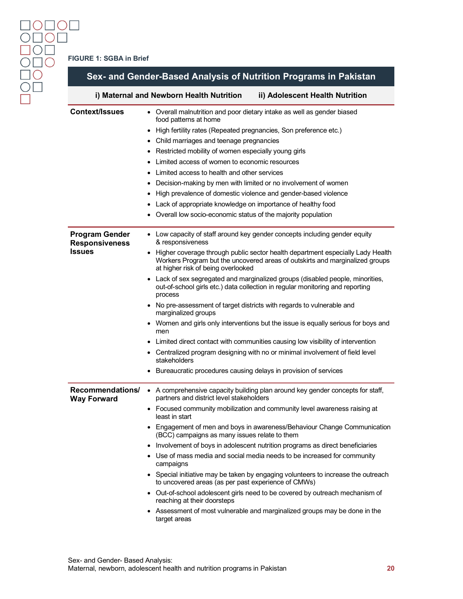| Sex- and Gender-Based Analysis of Nutrition Programs in Pakistan            |                                                                                                                                                                                                        |  |  |  |  |
|-----------------------------------------------------------------------------|--------------------------------------------------------------------------------------------------------------------------------------------------------------------------------------------------------|--|--|--|--|
| i) Maternal and Newborn Health Nutrition<br>ii) Adolescent Health Nutrition |                                                                                                                                                                                                        |  |  |  |  |
| <b>Context/Issues</b>                                                       | • Overall malnutrition and poor dietary intake as well as gender biased<br>food patterns at home                                                                                                       |  |  |  |  |
|                                                                             | High fertility rates (Repeated pregnancies, Son preference etc.)                                                                                                                                       |  |  |  |  |
|                                                                             | • Child marriages and teenage pregnancies                                                                                                                                                              |  |  |  |  |
|                                                                             | Restricted mobility of women especially young girls                                                                                                                                                    |  |  |  |  |
|                                                                             | Limited access of women to economic resources                                                                                                                                                          |  |  |  |  |
|                                                                             | Limited access to health and other services                                                                                                                                                            |  |  |  |  |
|                                                                             | • Decision-making by men with limited or no involvement of women                                                                                                                                       |  |  |  |  |
|                                                                             | High prevalence of domestic violence and gender-based violence                                                                                                                                         |  |  |  |  |
|                                                                             | • Lack of appropriate knowledge on importance of healthy food                                                                                                                                          |  |  |  |  |
|                                                                             | Overall low socio-economic status of the majority population                                                                                                                                           |  |  |  |  |
| <b>Program Gender</b><br><b>Responsiveness</b>                              | • Low capacity of staff around key gender concepts including gender equity<br>& responsiveness                                                                                                         |  |  |  |  |
| Issues                                                                      | • Higher coverage through public sector health department especially Lady Health<br>Workers Program but the uncovered areas of outskirts and marginalized groups<br>at higher risk of being overlooked |  |  |  |  |
|                                                                             | Lack of sex segregated and marginalized groups (disabled people, minorities,<br>out-of-school girls etc.) data collection in regular monitoring and reporting<br>process                               |  |  |  |  |
|                                                                             | No pre-assessment of target districts with regards to vulnerable and<br>marginalized groups                                                                                                            |  |  |  |  |
|                                                                             | • Women and girls only interventions but the issue is equally serious for boys and<br>men                                                                                                              |  |  |  |  |
|                                                                             | Limited direct contact with communities causing low visibility of intervention                                                                                                                         |  |  |  |  |
|                                                                             | • Centralized program designing with no or minimal involvement of field level<br>stakeholders                                                                                                          |  |  |  |  |
|                                                                             | • Bureaucratic procedures causing delays in provision of services                                                                                                                                      |  |  |  |  |
| Recommendations/<br><b>Way Forward</b>                                      | • A comprehensive capacity building plan around key gender concepts for staff,<br>partners and district level stakeholders                                                                             |  |  |  |  |
|                                                                             | • Focused community mobilization and community level awareness raising at<br>least in start                                                                                                            |  |  |  |  |
|                                                                             | • Engagement of men and boys in awareness/Behaviour Change Communication<br>(BCC) campaigns as many issues relate to them                                                                              |  |  |  |  |
|                                                                             | • Involvement of boys in adolescent nutrition programs as direct beneficiaries                                                                                                                         |  |  |  |  |
|                                                                             | • Use of mass media and social media needs to be increased for community<br>campaigns                                                                                                                  |  |  |  |  |
|                                                                             | • Special initiative may be taken by engaging volunteers to increase the outreach<br>to uncovered areas (as per past experience of CMWs)                                                               |  |  |  |  |
|                                                                             | • Out-of-school adolescent girls need to be covered by outreach mechanism of<br>reaching at their doorsteps                                                                                            |  |  |  |  |
|                                                                             | • Assessment of most vulnerable and marginalized groups may be done in the<br>target areas                                                                                                             |  |  |  |  |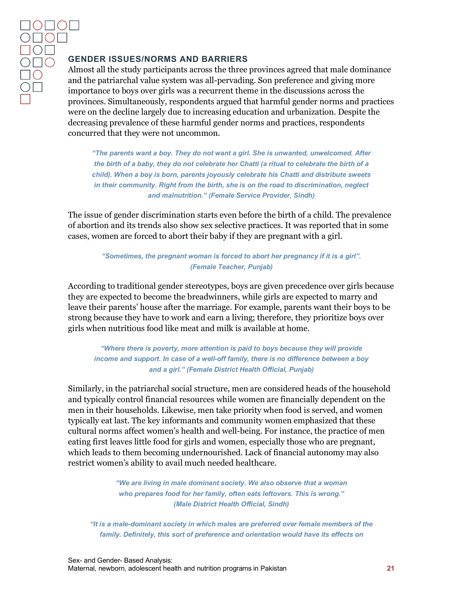#### <span id="page-21-0"></span>**GENDER ISSUES/NORMS AND BARRIERS**

Almost all the study participants across the three provinces agreed that male dominance and the patriarchal value system was all-pervading. Son preference and giving more importance to boys over girls was a recurrent theme in the discussions across the provinces. Simultaneously, respondents argued that harmful gender norms and practices were on the decline largely due to increasing education and urbanization. Despite the decreasing prevalence of these harmful gender norms and practices, respondents concurred that they were not uncommon.

*"The parents want a boy. They do not want a girl. She is unwanted, unwelcomed. After the birth of a baby, they do not celebrate her Chatti (a ritual to celebrate the birth of a child). When a boy is born, parents joyously celebrate his Chatti and distribute sweets in their community. Right from the birth, she is on the road to discrimination, neglect and malnutrition." (Female Service Provider, Sindh)*

The issue of gender discrimination starts even before the birth of a child. The prevalence of abortion and its trends also show sex selective practices. It was reported that in some cases, women are forced to abort their baby if they are pregnant with a girl.

#### *"Sometimes, the pregnant woman is forced to abort her pregnancy if it is a girl". (Female Teacher, Punjab)*

According to traditional gender stereotypes, boys are given precedence over girls because they are expected to become the breadwinners, while girls are expected to marry and leave their parents' house after the marriage. For example, parents want their boys to be strong because they have to work and earn a living; therefore, they prioritize boys over girls when nutritious food like meat and milk is available at home.

*"Where there is poverty, more attention is paid to boys because they will provide income and support. In case of a well-off family, there is no difference between a boy and a girl." (Female District Health Official, Punjab)*

Similarly, in the patriarchal social structure, men are considered heads of the household and typically control financial resources while women are financially dependent on the men in their households. Likewise, men take priority when food is served, and women typically eat last. The key informants and community women emphasized that these cultural norms affect women's health and well-being. For instance, the practice of men eating first leaves little food for girls and women, especially those who are pregnant, which leads to them becoming undernourished. Lack of financial autonomy may also restrict women's ability to avail much needed healthcare.

> *"We are living in male dominant society. We also observe that a woman who prepares food for her family, often eats leftovers. This is wrong." (Male District Health Official, Sindh)*

*"It is a male-dominant society in which males are preferred over female members of the family. Definitely, this sort of preference and orientation would have its effects on*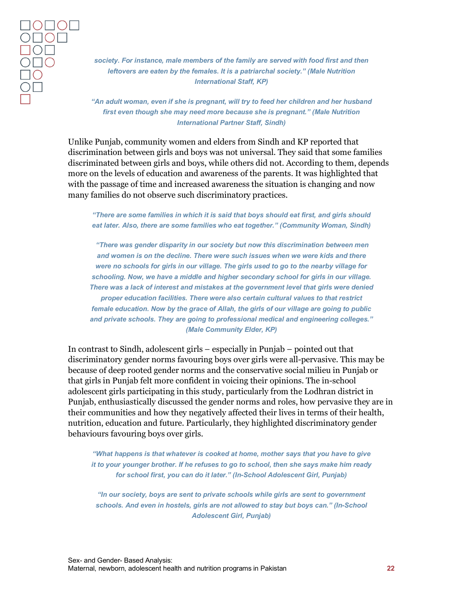*society. For instance, male members of the family are served with food first and then leftovers are eaten by the females. It is a patriarchal society." (Male Nutrition International Staff, KP)*

*"An adult woman, even if she is pregnant, will try to feed her children and her husband first even though she may need more because she is pregnant." (Male Nutrition International Partner Staff, Sindh)*

Unlike Punjab, community women and elders from Sindh and KP reported that discrimination between girls and boys was not universal. They said that some families discriminated between girls and boys, while others did not. According to them, depends more on the levels of education and awareness of the parents. It was highlighted that with the passage of time and increased awareness the situation is changing and now many families do not observe such discriminatory practices.

*"There are some families in which it is said that boys should eat first, and girls should eat later. Also, there are some families who eat together." (Community Woman, Sindh)*

*"There was gender disparity in our society but now this discrimination between men and women is on the decline. There were such issues when we were kids and there were no schools for girls in our village. The girls used to go to the nearby village for schooling. Now, we have a middle and higher secondary school for girls in our village. There was a lack of interest and mistakes at the government level that girls were denied proper education facilities. There were also certain cultural values to that restrict female education. Now by the grace of Allah, the girls of our village are going to public and private schools. They are going to professional medical and engineering colleges." (Male Community Elder, KP)*

In contrast to Sindh, adolescent girls – especially in Punjab – pointed out that discriminatory gender norms favouring boys over girls were all-pervasive. This may be because of deep rooted gender norms and the conservative social milieu in Punjab or that girls in Punjab felt more confident in voicing their opinions. The in-school adolescent girls participating in this study, particularly from the Lodhran district in Punjab, enthusiastically discussed the gender norms and roles, how pervasive they are in their communities and how they negatively affected their lives in terms of their health, nutrition, education and future. Particularly, they highlighted discriminatory gender behaviours favouring boys over girls.

*"What happens is that whatever is cooked at home, mother says that you have to give it to your younger brother. If he refuses to go to school, then she says make him ready for school first, you can do it later." (In-School Adolescent Girl, Punjab)*

*"In our society, boys are sent to private schools while girls are sent to government schools. And even in hostels, girls are not allowed to stay but boys can." (In-School Adolescent Girl, Punjab)*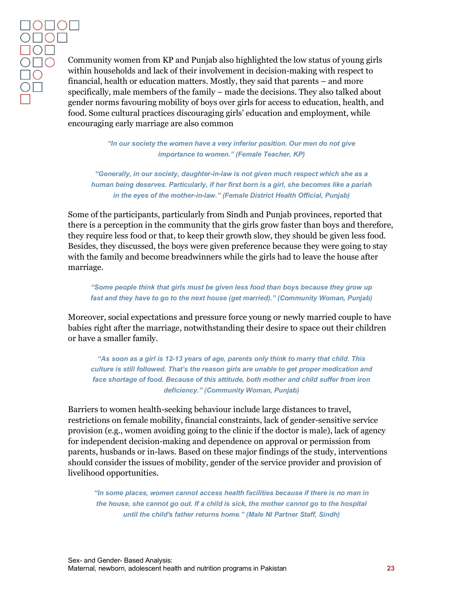Community women from KP and Punjab also highlighted the low status of young girls within households and lack of their involvement in decision-making with respect to financial, health or education matters. Mostly, they said that parents – and more specifically, male members of the family – made the decisions. They also talked about gender norms favouring mobility of boys over girls for access to education, health, and food. Some cultural practices discouraging girls' education and employment, while encouraging early marriage are also common

> *"In our society the women have a very inferior position. Our men do not give importance to women." (Female Teacher, KP)*

*"Generally, in our society, daughter-in-law is not given much respect which she as a human being deserves. Particularly, if her first born is a girl, she becomes like a pariah in the eyes of the mother-in-law." (Female District Health Official, Punjab)*

Some of the participants, particularly from Sindh and Punjab provinces, reported that there is a perception in the community that the girls grow faster than boys and therefore, they require less food or that, to keep their growth slow, they should be given less food. Besides, they discussed, the boys were given preference because they were going to stay with the family and become breadwinners while the girls had to leave the house after marriage.

*"Some people think that girls must be given less food than boys because they grow up fast and they have to go to the next house (get married)." (Community Woman, Punjab)*

Moreover, social expectations and pressure force young or newly married couple to have babies right after the marriage, notwithstanding their desire to space out their children or have a smaller family.

*"As soon as a girl is 12-13 years of age, parents only think to marry that child. This culture is still followed. That's the reason girls are unable to get proper medication and face shortage of food. Because of this attitude, both mother and child suffer from iron deficiency." (Community Woman, Punjab)*

Barriers to women health-seeking behaviour include large distances to travel, restrictions on female mobility, financial constraints, lack of gender-sensitive service provision (e.g., women avoiding going to the clinic if the doctor is male), lack of agency for independent decision-making and dependence on approval or permission from parents, husbands or in-laws. Based on these major findings of the study, interventions should consider the issues of mobility, gender of the service provider and provision of livelihood opportunities.

*"In some places, women cannot access health facilities because if there is no man in the house, she cannot go out. If a child is sick, the mother cannot go to the hospital until the child's father returns home." (Male NI Partner Staff, Sindh)*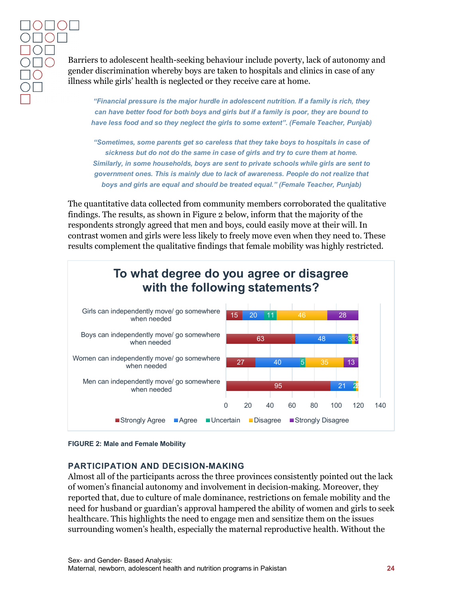Barriers to adolescent health-seeking behaviour include poverty, lack of autonomy and gender discrimination whereby boys are taken to hospitals and clinics in case of any illness while girls' health is neglected or they receive care at home.

*"Financial pressure is the major hurdle in adolescent nutrition. If a family is rich, they can have better food for both boys and girls but if a family is poor, they are bound to have less food and so they neglect the girls to some extent". (Female Teacher, Punjab)*

*"Sometimes, some parents get so careless that they take boys to hospitals in case of sickness but do not do the same in case of girls and try to cure them at home. Similarly, in some households, boys are sent to private schools while girls are sent to government ones. This is mainly due to lack of awareness. People do not realize that boys and girls are equal and should be treated equal." (Female Teacher, Punjab)*

The quantitative data collected from community members corroborated the qualitative findings. The results, as shown in Figure 2 below, inform that the majority of the respondents strongly agreed that men and boys, could easily move at their will. In contrast women and girls were less likely to freely move even when they need to. These results complement the qualitative findings that female mobility was highly restricted.



<span id="page-24-1"></span>**FIGURE 2: Male and Female Mobility**

#### <span id="page-24-0"></span>**PARTICIPATION AND DECISION-MAKING**

Almost all of the participants across the three provinces consistently pointed out the lack of women's financial autonomy and involvement in decision-making. Moreover, they reported that, due to culture of male dominance, restrictions on female mobility and the need for husband or guardian's approval hampered the ability of women and girls to seek healthcare. This highlights the need to engage men and sensitize them on the issues surrounding women's health, especially the maternal reproductive health. Without the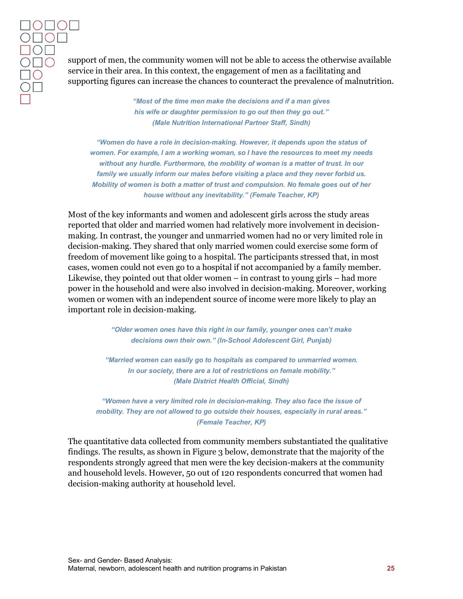support of men, the community women will not be able to access the otherwise available service in their area. In this context, the engagement of men as a facilitating and supporting figures can increase the chances to counteract the prevalence of malnutrition.

> *"Most of the time men make the decisions and if a man gives his wife or daughter permission to go out then they go out." (Male Nutrition International Partner Staff, Sindh)*

*"Women do have a role in decision-making. However, it depends upon the status of women. For example, I am a working woman, so I have the resources to meet my needs without any hurdle. Furthermore, the mobility of woman is a matter of trust. In our family we usually inform our males before visiting a place and they never forbid us. Mobility of women is both a matter of trust and compulsion. No female goes out of her house without any inevitability." (Female Teacher, KP)*

Most of the key informants and women and adolescent girls across the study areas reported that older and married women had relatively more involvement in decisionmaking. In contrast, the younger and unmarried women had no or very limited role in decision-making. They shared that only married women could exercise some form of freedom of movement like going to a hospital. The participants stressed that, in most cases, women could not even go to a hospital if not accompanied by a family member. Likewise, they pointed out that older women – in contrast to young girls – had more power in the household and were also involved in decision-making. Moreover, working women or women with an independent source of income were more likely to play an important role in decision-making.

> *"Older women ones have this right in our family, younger ones can't make decisions own their own." (In-School Adolescent Girl, Punjab)*

*"Married women can easily go to hospitals as compared to unmarried women. In our society, there are a lot of restrictions on female mobility." (Male District Health Official, Sindh)*

*"Women have a very limited role in decision-making. They also face the issue of mobility. They are not allowed to go outside their houses, especially in rural areas." (Female Teacher, KP)*

The quantitative data collected from community members substantiated the qualitative findings. The results, as shown in Figure 3 below, demonstrate that the majority of the respondents strongly agreed that men were the key decision-makers at the community and household levels. However, 50 out of 120 respondents concurred that women had decision-making authority at household level.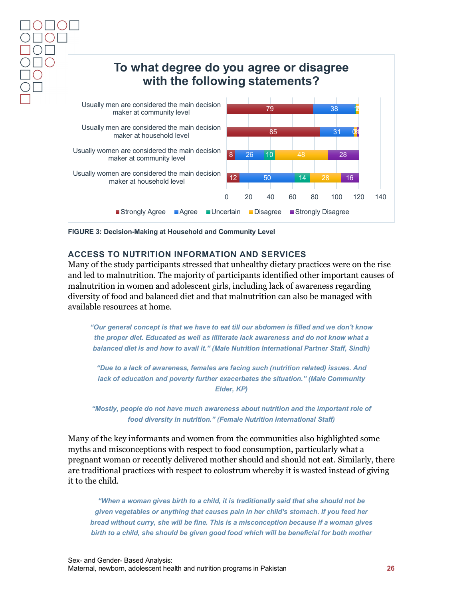

<span id="page-26-1"></span>**FIGURE 3: Decision-Making at Household and Community Level**

#### <span id="page-26-0"></span>**ACCESS TO NUTRITION INFORMATION AND SERVICES**

Many of the study participants stressed that unhealthy dietary practices were on the rise and led to malnutrition. The majority of participants identified other important causes of malnutrition in women and adolescent girls, including lack of awareness regarding diversity of food and balanced diet and that malnutrition can also be managed with available resources at home.

*"Our general concept is that we have to eat till our abdomen is filled and we don't know the proper diet. Educated as well as illiterate lack awareness and do not know what a balanced diet is and how to avail it." (Male Nutrition International Partner Staff, Sindh)*

*"Due to a lack of awareness, females are facing such (nutrition related) issues. And lack of education and poverty further exacerbates the situation." (Male Community Elder, KP)*

*"Mostly, people do not have much awareness about nutrition and the important role of food diversity in nutrition." (Female Nutrition International Staff)*

Many of the key informants and women from the communities also highlighted some myths and misconceptions with respect to food consumption, particularly what a pregnant woman or recently delivered mother should and should not eat. Similarly, there are traditional practices with respect to colostrum whereby it is wasted instead of giving it to the child.

*"When a woman gives birth to a child, it is traditionally said that she should not be given vegetables or anything that causes pain in her child's stomach. If you feed her bread without curry, she will be fine. This is a misconception because if a woman gives birth to a child, she should be given good food which will be beneficial for both mother*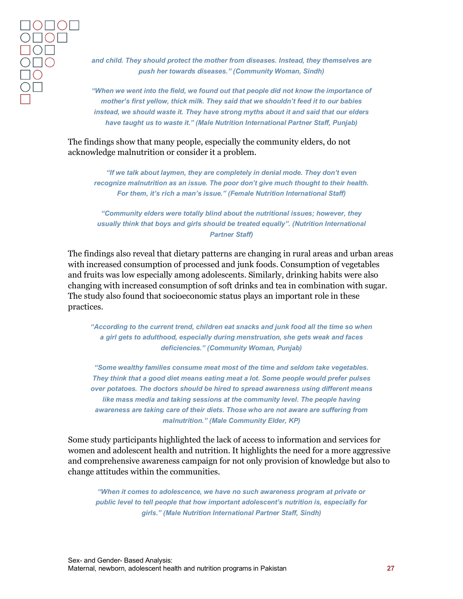*and child. They should protect the mother from diseases. Instead, they themselves are push her towards diseases." (Community Woman, Sindh)*

*"When we went into the field, we found out that people did not know the importance of mother's first yellow, thick milk. They said that we shouldn't feed it to our babies instead, we should waste it. They have strong myths about it and said that our elders have taught us to waste it." (Male Nutrition International Partner Staff, Punjab)*

The findings show that many people, especially the community elders, do not acknowledge malnutrition or consider it a problem.

*"If we talk about laymen, they are completely in denial mode. They don't even recognize malnutrition as an issue. The poor don't give much thought to their health. For them, it's rich a man's issue." (Female Nutrition International Staff)*

*"Community elders were totally blind about the nutritional issues; however, they usually think that boys and girls should be treated equally". (Nutrition International Partner Staff)*

The findings also reveal that dietary patterns are changing in rural areas and urban areas with increased consumption of processed and junk foods. Consumption of vegetables and fruits was low especially among adolescents. Similarly, drinking habits were also changing with increased consumption of soft drinks and tea in combination with sugar. The study also found that socioeconomic status plays an important role in these practices.

*"According to the current trend, children eat snacks and junk food all the time so when a girl gets to adulthood, especially during menstruation, she gets weak and faces deficiencies." (Community Woman, Punjab)*

*"Some wealthy families consume meat most of the time and seldom take vegetables. They think that a good diet means eating meat a lot. Some people would prefer pulses over potatoes. The doctors should be hired to spread awareness using different means like mass media and taking sessions at the community level. The people having awareness are taking care of their diets. Those who are not aware are suffering from malnutrition." (Male Community Elder, KP)*

Some study participants highlighted the lack of access to information and services for women and adolescent health and nutrition. It highlights the need for a more aggressive and comprehensive awareness campaign for not only provision of knowledge but also to change attitudes within the communities.

*"When it comes to adolescence, we have no such awareness program at private or public level to tell people that how important adolescent's nutrition is, especially for girls." (Male Nutrition International Partner Staff, Sindh)*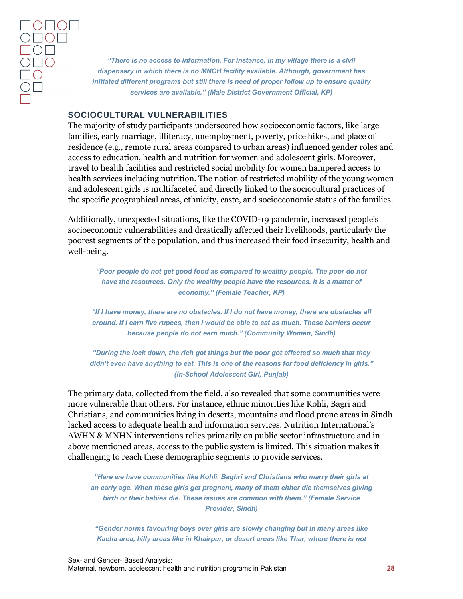*"There is no access to information. For instance, in my village there is a civil dispensary in which there is no MNCH facility available. Although, government has initiated different programs but still there is need of proper follow up to ensure quality services are available." (Male District Government Official, KP)*

#### <span id="page-28-0"></span>**SOCIOCULTURAL VULNERABILITIES**

The majority of study participants underscored how socioeconomic factors, like large families, early marriage, illiteracy, unemployment, poverty, price hikes, and place of residence (e.g., remote rural areas compared to urban areas) influenced gender roles and access to education, health and nutrition for women and adolescent girls. Moreover, travel to health facilities and restricted social mobility for women hampered access to health services including nutrition. The notion of restricted mobility of the young women and adolescent girls is multifaceted and directly linked to the sociocultural practices of the specific geographical areas, ethnicity, caste, and socioeconomic status of the families.

Additionally, unexpected situations, like the COVID-19 pandemic, increased people's socioeconomic vulnerabilities and drastically affected their livelihoods, particularly the poorest segments of the population, and thus increased their food insecurity, health and well-being.

*"Poor people do not get good food as compared to wealthy people. The poor do not have the resources. Only the wealthy people have the resources. It is a matter of economy." (Female Teacher, KP)*

*"If I have money, there are no obstacles. If I do not have money, there are obstacles all around. If I earn five rupees, then I would be able to eat as much. These barriers occur because people do not earn much." (Community Woman, Sindh)*

*"During the lock down, the rich got things but the poor got affected so much that they didn't even have anything to eat. This is one of the reasons for food deficiency in girls." (In-School Adolescent Girl, Punjab)*

The primary data, collected from the field, also revealed that some communities were more vulnerable than others. For instance, ethnic minorities like Kohli, Bagri and Christians, and communities living in deserts, mountains and flood prone areas in Sindh lacked access to adequate health and information services. Nutrition International's AWHN & MNHN interventions relies primarily on public sector infrastructure and in above mentioned areas, access to the public system is limited. This situation makes it challenging to reach these demographic segments to provide services.

*"Here we have communities like Kohli, Baghri and Christians who marry their girls at an early age. When these girls get pregnant, many of them either die themselves giving birth or their babies die. These issues are common with them." (Female Service Provider, Sindh)*

*"Gender norms favouring boys over girls are slowly changing but in many areas like Kacha area, hilly areas like in Khairpur, or desert areas like Thar, where there is not*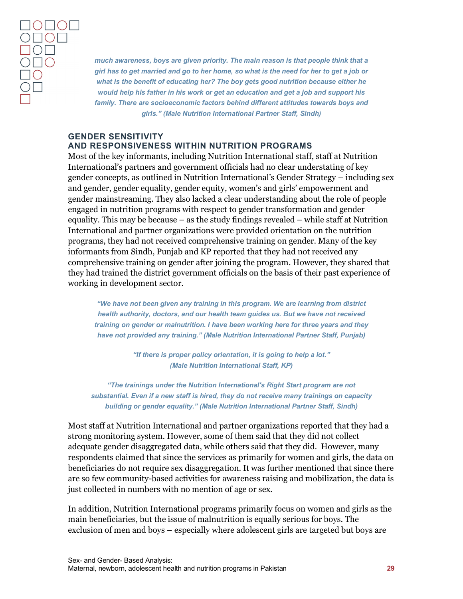*much awareness, boys are given priority. The main reason is that people think that a girl has to get married and go to her home, so what is the need for her to get a job or what is the benefit of educating her? The boy gets good nutrition because either he would help his father in his work or get an education and get a job and support his family. There are socioeconomic factors behind different attitudes towards boys and girls." (Male Nutrition International Partner Staff, Sindh)*

#### <span id="page-29-0"></span>**GENDER SENSITIVITY AND RESPONSIVENESS WITHIN NUTRITION PROGRAMS**

Most of the key informants, including Nutrition International staff, staff at Nutrition International's partners and government officials had no clear understating of key gender concepts, as outlined in Nutrition International's Gender Strategy – including sex and gender, gender equality, gender equity, women's and girls' empowerment and gender mainstreaming. They also lacked a clear understanding about the role of people engaged in nutrition programs with respect to gender transformation and gender equality. This may be because – as the study findings revealed – while staff at Nutrition International and partner organizations were provided orientation on the nutrition programs, they had not received comprehensive training on gender. Many of the key informants from Sindh, Punjab and KP reported that they had not received any comprehensive training on gender after joining the program. However, they shared that they had trained the district government officials on the basis of their past experience of working in development sector.

*"We have not been given any training in this program. We are learning from district health authority, doctors, and our health team guides us. But we have not received training on gender or malnutrition. I have been working here for three years and they have not provided any training." (Male Nutrition International Partner Staff, Punjab)*

> *"If there is proper policy orientation, it is going to help a lot." (Male Nutrition International Staff, KP)*

*"The trainings under the Nutrition International's Right Start program are not substantial. Even if a new staff is hired, they do not receive many trainings on capacity building or gender equality." (Male Nutrition International Partner Staff, Sindh)*

Most staff at Nutrition International and partner organizations reported that they had a strong monitoring system. However, some of them said that they did not collect adequate gender disaggregated data, while others said that they did. However, many respondents claimed that since the services as primarily for women and girls, the data on beneficiaries do not require sex disaggregation. It was further mentioned that since there are so few community-based activities for awareness raising and mobilization, the data is just collected in numbers with no mention of age or sex.

In addition, Nutrition International programs primarily focus on women and girls as the main beneficiaries, but the issue of malnutrition is equally serious for boys. The exclusion of men and boys – especially where adolescent girls are targeted but boys are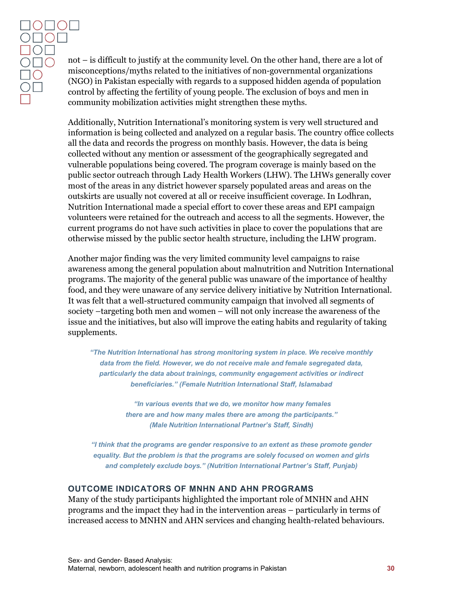not – is difficult to justify at the community level. On the other hand, there are a lot of misconceptions/myths related to the initiatives of non-governmental organizations (NGO) in Pakistan especially with regards to a supposed hidden agenda of population control by affecting the fertility of young people. The exclusion of boys and men in community mobilization activities might strengthen these myths.

Additionally, Nutrition International's monitoring system is very well structured and information is being collected and analyzed on a regular basis. The country office collects all the data and records the progress on monthly basis. However, the data is being collected without any mention or assessment of the geographically segregated and vulnerable populations being covered. The program coverage is mainly based on the public sector outreach through Lady Health Workers (LHW). The LHWs generally cover most of the areas in any district however sparsely populated areas and areas on the outskirts are usually not covered at all or receive insufficient coverage. In Lodhran, Nutrition International made a special effort to cover these areas and EPI campaign volunteers were retained for the outreach and access to all the segments. However, the current programs do not have such activities in place to cover the populations that are otherwise missed by the public sector health structure, including the LHW program.

Another major finding was the very limited community level campaigns to raise awareness among the general population about malnutrition and Nutrition International programs. The majority of the general public was unaware of the importance of healthy food, and they were unaware of any service delivery initiative by Nutrition International. It was felt that a well-structured community campaign that involved all segments of society –targeting both men and women – will not only increase the awareness of the issue and the initiatives, but also will improve the eating habits and regularity of taking supplements.

*"The Nutrition International has strong monitoring system in place. We receive monthly data from the field. However, we do not receive male and female segregated data, particularly the data about trainings, community engagement activities or indirect beneficiaries." (Female Nutrition International Staff, Islamabad*

> *"In various events that we do, we monitor how many females there are and how many males there are among the participants." (Male Nutrition International Partner's Staff, Sindh)*

*"I think that the programs are gender responsive to an extent as these promote gender equality. But the problem is that the programs are solely focused on women and girls and completely exclude boys." (Nutrition International Partner's Staff, Punjab)*

#### <span id="page-30-0"></span>**OUTCOME INDICATORS OF MNHN AND AHN PROGRAMS**

Many of the study participants highlighted the important role of MNHN and AHN programs and the impact they had in the intervention areas – particularly in terms of increased access to MNHN and AHN services and changing health-related behaviours.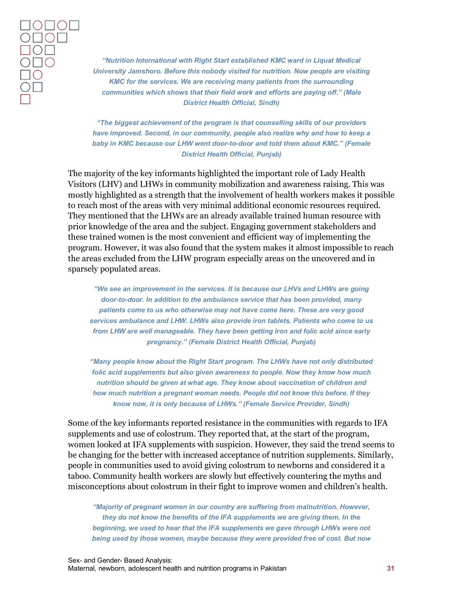*"Nutrition International with Right Start established KMC ward in Liquat Medical University Jamshoro. Before this nobody visited for nutrition. Now people are visiting KMC for the services. We are receiving many patients from the surrounding communities which shows that their field work and efforts are paying off." (Male District Health Official, Sindh)*

*"The biggest achievement of the program is that counselling skills of our providers have improved. Second, in our community, people also realize why and how to keep a*  baby in KMC because our LHW went door-to-door and told them about KMC." (Female *District Health Official, Punjab)*

The majority of the key informants highlighted the important role of Lady Health Visitors (LHV) and LHWs in community mobilization and awareness raising. This was mostly highlighted as a strength that the involvement of health workers makes it possible to reach most of the areas with very minimal additional economic resources required. They mentioned that the LHWs are an already available trained human resource with prior knowledge of the area and the subject. Engaging government stakeholders and these trained women is the most convenient and efficient way of implementing the program. However, it was also found that the system makes it almost impossible to reach the areas excluded from the LHW program especially areas on the uncovered and in sparsely populated areas.

*"We see an improvement in the services. It is because our LHVs and LHWs are going door-to-door. In addition to the ambulance service that has been provided, many patients come to us who otherwise may not have come here. These are very good services ambulance and LHW. LHWs also provide iron tablets. Patients who come to us from LHW are well manageable. They have been getting iron and folic acid since early pregnancy." (Female District Health Official, Punjab)*

*"Many people know about the Right Start program. The LHWs have not only distributed folic acid supplements but also given awareness to people. Now they know how much nutrition should be given at what age. They know about vaccination of children and how much nutrition a pregnant woman needs. People did not know this before. If they know now, it is only because of LHWs." (Female Service Provider, Sindh)*

Some of the key informants reported resistance in the communities with regards to IFA supplements and use of colostrum. They reported that, at the start of the program, women looked at IFA supplements with suspicion. However, they said the trend seems to be changing for the better with increased acceptance of nutrition supplements. Similarly, people in communities used to avoid giving colostrum to newborns and considered it a taboo. Community health workers are slowly but effectively countering the myths and misconceptions about colostrum in their fight to improve women and children's health.

*"Majority of pregnant women in our country are suffering from malnutrition. However, they do not know the benefits of the IFA supplements we are giving them. In the beginning, we used to hear that the IFA supplements we gave through LHWs were not being used by those women, maybe because they were provided free of cost. But now*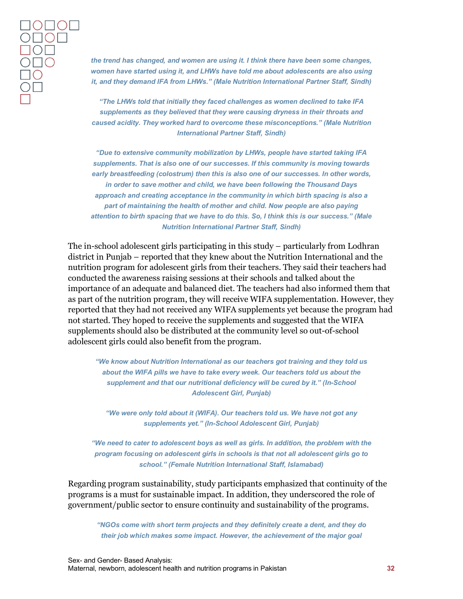*the trend has changed, and women are using it. I think there have been some changes, women have started using it, and LHWs have told me about adolescents are also using it, and they demand IFA from LHWs." (Male Nutrition International Partner Staff, Sindh)*

*"The LHWs told that initially they faced challenges as women declined to take IFA supplements as they believed that they were causing dryness in their throats and caused acidity. They worked hard to overcome these misconceptions." (Male Nutrition International Partner Staff, Sindh)*

*"Due to extensive community mobilization by LHWs, people have started taking IFA supplements. That is also one of our successes. If this community is moving towards early breastfeeding (colostrum) then this is also one of our successes. In other words, in order to save mother and child, we have been following the Thousand Days approach and creating acceptance in the community in which birth spacing is also a part of maintaining the health of mother and child. Now people are also paying attention to birth spacing that we have to do this. So, I think this is our success." (Male Nutrition International Partner Staff, Sindh)*

The in-school adolescent girls participating in this study – particularly from Lodhran district in Punjab – reported that they knew about the Nutrition International and the nutrition program for adolescent girls from their teachers. They said their teachers had conducted the awareness raising sessions at their schools and talked about the importance of an adequate and balanced diet. The teachers had also informed them that as part of the nutrition program, they will receive WIFA supplementation. However, they reported that they had not received any WIFA supplements yet because the program had not started. They hoped to receive the supplements and suggested that the WIFA supplements should also be distributed at the community level so out-of-school adolescent girls could also benefit from the program.

*"We know about Nutrition International as our teachers got training and they told us about the WIFA pills we have to take every week. Our teachers told us about the supplement and that our nutritional deficiency will be cured by it." (In-School Adolescent Girl, Punjab)*

*"We were only told about it (WIFA). Our teachers told us. We have not got any supplements yet." (In-School Adolescent Girl, Punjab)*

*"We need to cater to adolescent boys as well as girls. In addition, the problem with the program focusing on adolescent girls in schools is that not all adolescent girls go to school." (Female Nutrition International Staff, Islamabad)*

Regarding program sustainability, study participants emphasized that continuity of the programs is a must for sustainable impact. In addition, they underscored the role of government/public sector to ensure continuity and sustainability of the programs.

*"NGOs come with short term projects and they definitely create a dent, and they do their job which makes some impact. However, the achievement of the major goal*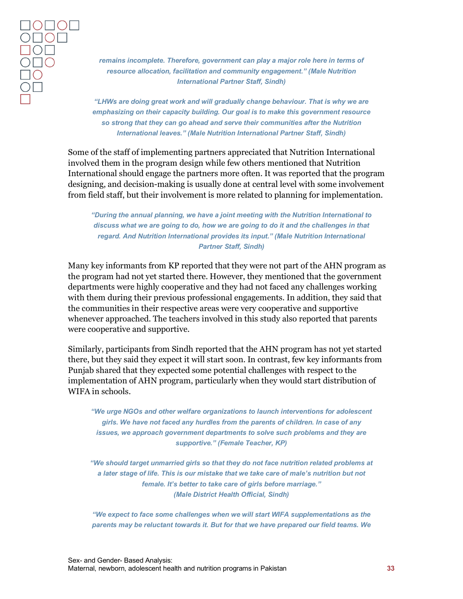*remains incomplete. Therefore, government can play a major role here in terms of resource allocation, facilitation and community engagement." (Male Nutrition International Partner Staff, Sindh)*

*"LHWs are doing great work and will gradually change behaviour. That is why we are emphasizing on their capacity building. Our goal is to make this government resource so strong that they can go ahead and serve their communities after the Nutrition International leaves." (Male Nutrition International Partner Staff, Sindh)*

Some of the staff of implementing partners appreciated that Nutrition International involved them in the program design while few others mentioned that Nutrition International should engage the partners more often. It was reported that the program designing, and decision-making is usually done at central level with some involvement from field staff, but their involvement is more related to planning for implementation.

*"During the annual planning, we have a joint meeting with the Nutrition International to discuss what we are going to do, how we are going to do it and the challenges in that regard. And Nutrition International provides its input." (Male Nutrition International Partner Staff, Sindh)*

Many key informants from KP reported that they were not part of the AHN program as the program had not yet started there. However, they mentioned that the government departments were highly cooperative and they had not faced any challenges working with them during their previous professional engagements. In addition, they said that the communities in their respective areas were very cooperative and supportive whenever approached. The teachers involved in this study also reported that parents were cooperative and supportive.

Similarly, participants from Sindh reported that the AHN program has not yet started there, but they said they expect it will start soon. In contrast, few key informants from Punjab shared that they expected some potential challenges with respect to the implementation of AHN program, particularly when they would start distribution of WIFA in schools.

*"We urge NGOs and other welfare organizations to launch interventions for adolescent girls. We have not faced any hurdles from the parents of children. In case of any issues, we approach government departments to solve such problems and they are supportive." (Female Teacher, KP)*

*"We should target unmarried girls so that they do not face nutrition related problems at a later stage of life. This is our mistake that we take care of male's nutrition but not female. It's better to take care of girls before marriage." (Male District Health Official, Sindh)*

*"We expect to face some challenges when we will start WIFA supplementations as the parents may be reluctant towards it. But for that we have prepared our field teams. We*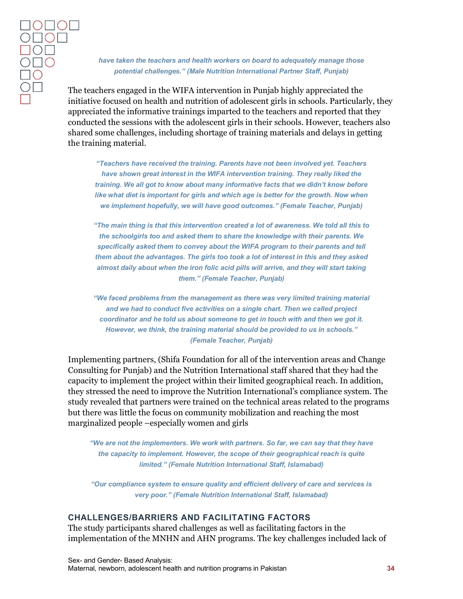*have taken the teachers and health workers on board to adequately manage those potential challenges." (Male Nutrition International Partner Staff, Punjab)*

The teachers engaged in the WIFA intervention in Punjab highly appreciated the initiative focused on health and nutrition of adolescent girls in schools. Particularly, they appreciated the informative trainings imparted to the teachers and reported that they conducted the sessions with the adolescent girls in their schools. However, teachers also shared some challenges, including shortage of training materials and delays in getting the training material.

*"Teachers have received the training. Parents have not been involved yet. Teachers have shown great interest in the WIFA intervention training. They really liked the training. We all got to know about many informative facts that we didn't know before like what diet is important for girls and which age is better for the growth. Now when we implement hopefully, we will have good outcomes." (Female Teacher, Punjab)*

*"The main thing is that this intervention created a lot of awareness. We told all this to the schoolgirls too and asked them to share the knowledge with their parents. We specifically asked them to convey about the WIFA program to their parents and tell them about the advantages. The girls too took a lot of interest in this and they asked almost daily about when the iron folic acid pills will arrive, and they will start taking them." (Female Teacher, Punjab)*

*"We faced problems from the management as there was very limited training material and we had to conduct five activities on a single chart. Then we called project coordinator and he told us about someone to get in touch with and then we got it. However, we think, the training material should be provided to us in schools." (Female Teacher, Punjab)*

Implementing partners, (Shifa Foundation for all of the intervention areas and Change Consulting for Punjab) and the Nutrition International staff shared that they had the capacity to implement the project within their limited geographical reach. In addition, they stressed the need to improve the Nutrition International's compliance system. The study revealed that partners were trained on the technical areas related to the programs but there was little the focus on community mobilization and reaching the most marginalized people –especially women and girls

*"We are not the implementers. We work with partners. So far, we can say that they have the capacity to implement. However, the scope of their geographical reach is quite limited." (Female Nutrition International Staff, Islamabad)*

*"Our compliance system to ensure quality and efficient delivery of care and services is very poor." (Female Nutrition International Staff, Islamabad)*

#### <span id="page-34-0"></span>**CHALLENGES/BARRIERS AND FACILITATING FACTORS**

The study participants shared challenges as well as facilitating factors in the implementation of the MNHN and AHN programs. The key challenges included lack of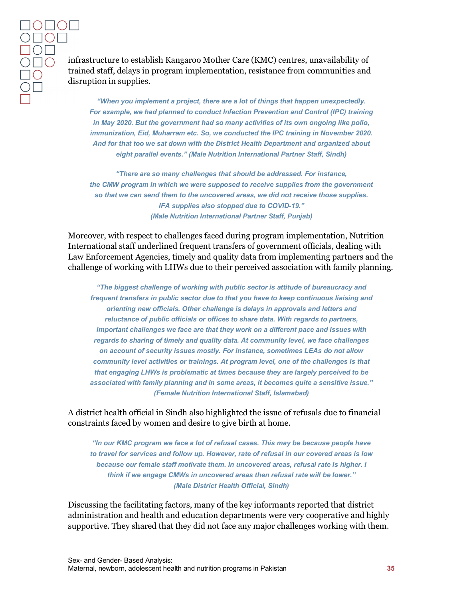infrastructure to establish Kangaroo Mother Care (KMC) centres, unavailability of trained staff, delays in program implementation, resistance from communities and disruption in supplies.

*"When you implement a project, there are a lot of things that happen unexpectedly. For example, we had planned to conduct Infection Prevention and Control (IPC) training in May 2020. But the government had so many activities of its own ongoing like polio, immunization, Eid, Muharram etc. So, we conducted the IPC training in November 2020. And for that too we sat down with the District Health Department and organized about eight parallel events." (Male Nutrition International Partner Staff, Sindh)*

*"There are so many challenges that should be addressed. For instance, the CMW program in which we were supposed to receive supplies from the government so that we can send them to the uncovered areas, we did not receive those supplies. IFA supplies also stopped due to COVID-19." (Male Nutrition International Partner Staff, Punjab)*

Moreover, with respect to challenges faced during program implementation, Nutrition International staff underlined frequent transfers of government officials, dealing with Law Enforcement Agencies, timely and quality data from implementing partners and the challenge of working with LHWs due to their perceived association with family planning.

*"The biggest challenge of working with public sector is attitude of bureaucracy and frequent transfers in public sector due to that you have to keep continuous liaising and orienting new officials. Other challenge is delays in approvals and letters and reluctance of public officials or offices to share data. With regards to partners, important challenges we face are that they work on a different pace and issues with regards to sharing of timely and quality data. At community level, we face challenges on account of security issues mostly. For instance, sometimes LEAs do not allow community level activities or trainings. At program level, one of the challenges is that that engaging LHWs is problematic at times because they are largely perceived to be associated with family planning and in some areas, it becomes quite a sensitive issue." (Female Nutrition International Staff, Islamabad)*

A district health official in Sindh also highlighted the issue of refusals due to financial constraints faced by women and desire to give birth at home.

*"In our KMC program we face a lot of refusal cases. This may be because people have to travel for services and follow up. However, rate of refusal in our covered areas is low because our female staff motivate them. In uncovered areas, refusal rate is higher. I think if we engage CMWs in uncovered areas then refusal rate will be lower." (Male District Health Official, Sindh)*

Discussing the facilitating factors, many of the key informants reported that district administration and health and education departments were very cooperative and highly supportive. They shared that they did not face any major challenges working with them.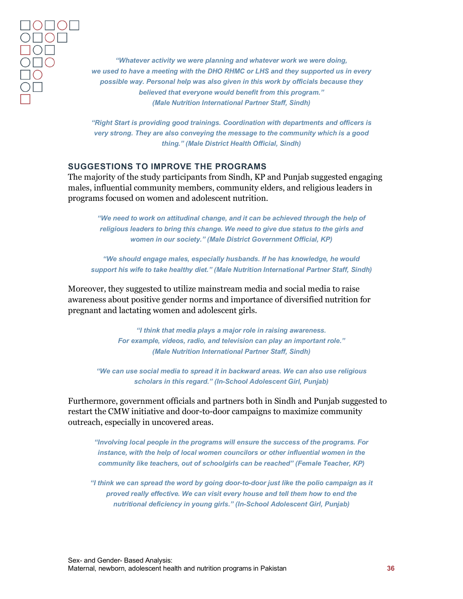*"Whatever activity we were planning and whatever work we were doing, we used to have a meeting with the DHO RHMC or LHS and they supported us in every possible way. Personal help was also given in this work by officials because they believed that everyone would benefit from this program." (Male Nutrition International Partner Staff, Sindh)*

*"Right Start is providing good trainings. Coordination with departments and officers is very strong. They are also conveying the message to the community which is a good thing." (Male District Health Official, Sindh)*

#### <span id="page-36-0"></span>**SUGGESTIONS TO IMPROVE THE PROGRAMS**

The majority of the study participants from Sindh, KP and Punjab suggested engaging males, influential community members, community elders, and religious leaders in programs focused on women and adolescent nutrition.

*"We need to work on attitudinal change, and it can be achieved through the help of religious leaders to bring this change. We need to give due status to the girls and women in our society." (Male District Government Official, KP)*

*"We should engage males, especially husbands. If he has knowledge, he would support his wife to take healthy diet." (Male Nutrition International Partner Staff, Sindh)*

Moreover, they suggested to utilize mainstream media and social media to raise awareness about positive gender norms and importance of diversified nutrition for pregnant and lactating women and adolescent girls.

> *"I think that media plays a major role in raising awareness. For example, videos, radio, and television can play an important role." (Male Nutrition International Partner Staff, Sindh)*

*"We can use social media to spread it in backward areas. We can also use religious scholars in this regard." (In-School Adolescent Girl, Punjab)*

Furthermore, government officials and partners both in Sindh and Punjab suggested to restart the CMW initiative and door-to-door campaigns to maximize community outreach, especially in uncovered areas.

*"Involving local people in the programs will ensure the success of the programs. For instance, with the help of local women councilors or other influential women in the community like teachers, out of schoolgirls can be reached" (Female Teacher, KP)*

*"I think we can spread the word by going door-to-door just like the polio campaign as it proved really effective. We can visit every house and tell them how to end the nutritional deficiency in young girls." (In-School Adolescent Girl, Punjab)*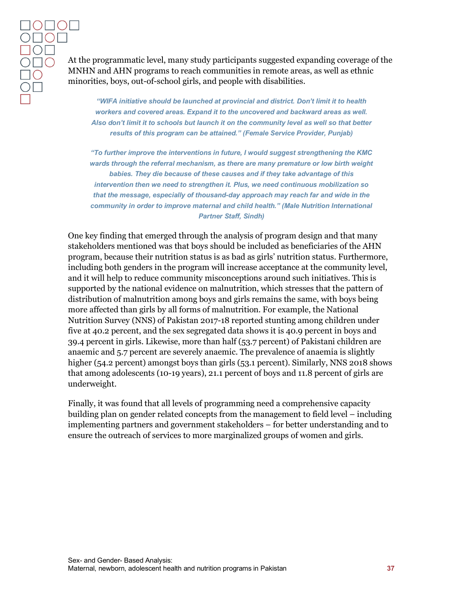At the programmatic level, many study participants suggested expanding coverage of the MNHN and AHN programs to reach communities in remote areas, as well as ethnic minorities, boys, out-of-school girls, and people with disabilities.

*"WIFA initiative should be launched at provincial and district. Don't limit it to health workers and covered areas. Expand it to the uncovered and backward areas as well. Also don't limit it to schools but launch it on the community level as well so that better results of this program can be attained." (Female Service Provider, Punjab)*

*"To further improve the interventions in future, I would suggest strengthening the KMC wards through the referral mechanism, as there are many premature or low birth weight babies. They die because of these causes and if they take advantage of this intervention then we need to strengthen it. Plus, we need continuous mobilization so that the message, especially of thousand-day approach may reach far and wide in the community in order to improve maternal and child health." (Male Nutrition International Partner Staff, Sindh)*

One key finding that emerged through the analysis of program design and that many stakeholders mentioned was that boys should be included as beneficiaries of the AHN program, because their nutrition status is as bad as girls' nutrition status. Furthermore, including both genders in the program will increase acceptance at the community level, and it will help to reduce community misconceptions around such initiatives. This is supported by the national evidence on malnutrition, which stresses that the pattern of distribution of malnutrition among boys and girls remains the same, with boys being more affected than girls by all forms of malnutrition. For example, the National Nutrition Survey (NNS) of Pakistan 2017-18 reported stunting among children under five at 40.2 percent, and the sex segregated data shows it is 40.9 percent in boys and 39.4 percent in girls. Likewise, more than half (53.7 percent) of Pakistani children are anaemic and 5.7 percent are severely anaemic. The prevalence of anaemia is slightly higher (54.2 percent) amongst boys than girls (53.1 percent). Similarly, NNS 2018 shows that among adolescents (10-19 years), 21.1 percent of boys and 11.8 percent of girls are underweight.

Finally, it was found that all levels of programming need a comprehensive capacity building plan on gender related concepts from the management to field level – including implementing partners and government stakeholders – for better understanding and to ensure the outreach of services to more marginalized groups of women and girls.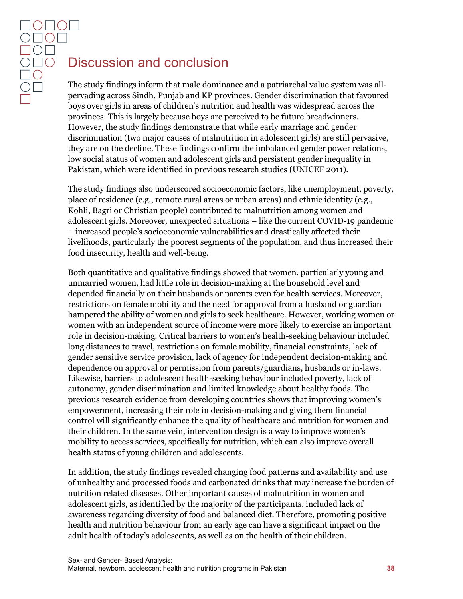# <span id="page-38-0"></span>Discussion and conclusion

The study findings inform that male dominance and a patriarchal value system was allpervading across Sindh, Punjab and KP provinces. Gender discrimination that favoured boys over girls in areas of children's nutrition and health was widespread across the provinces. This is largely because boys are perceived to be future breadwinners. However, the study findings demonstrate that while early marriage and gender discrimination (two major causes of malnutrition in adolescent girls) are still pervasive, they are on the decline. These findings confirm the imbalanced gender power relations, low social status of women and adolescent girls and persistent gender inequality in Pakistan, which were identified in previous research studies (UNICEF 2011).

The study findings also underscored socioeconomic factors, like unemployment, poverty, place of residence (e.g., remote rural areas or urban areas) and ethnic identity (e.g., Kohli, Bagri or Christian people) contributed to malnutrition among women and adolescent girls. Moreover, unexpected situations – like the current COVID-19 pandemic – increased people's socioeconomic vulnerabilities and drastically affected their livelihoods, particularly the poorest segments of the population, and thus increased their food insecurity, health and well-being.

Both quantitative and qualitative findings showed that women, particularly young and unmarried women, had little role in decision-making at the household level and depended financially on their husbands or parents even for health services. Moreover, restrictions on female mobility and the need for approval from a husband or guardian hampered the ability of women and girls to seek healthcare. However, working women or women with an independent source of income were more likely to exercise an important role in decision-making. Critical barriers to women's health-seeking behaviour included long distances to travel, restrictions on female mobility, financial constraints, lack of gender sensitive service provision, lack of agency for independent decision-making and dependence on approval or permission from parents/guardians, husbands or in-laws. Likewise, barriers to adolescent health-seeking behaviour included poverty, lack of autonomy, gender discrimination and limited knowledge about healthy foods. The previous research evidence from developing countries shows that improving women's empowerment, increasing their role in decision-making and giving them financial control will significantly enhance the quality of healthcare and nutrition for women and their children. In the same vein, intervention design is a way to improve women's mobility to access services, specifically for nutrition, which can also improve overall health status of young children and adolescents.

In addition, the study findings revealed changing food patterns and availability and use of unhealthy and processed foods and carbonated drinks that may increase the burden of nutrition related diseases. Other important causes of malnutrition in women and adolescent girls, as identified by the majority of the participants, included lack of awareness regarding diversity of food and balanced diet. Therefore, promoting positive health and nutrition behaviour from an early age can have a significant impact on the adult health of today's adolescents, as well as on the health of their children.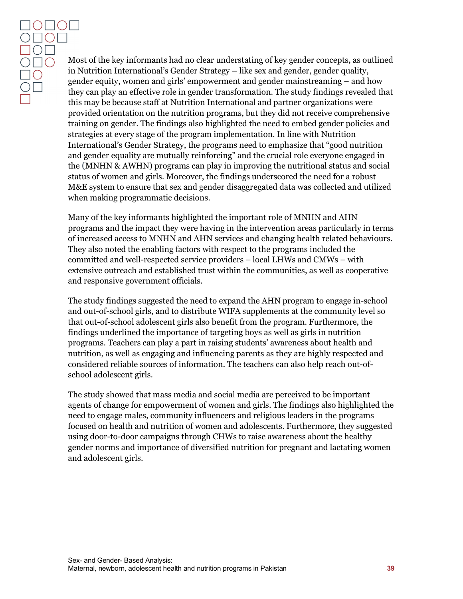$\circ$   $\circ$   $\circ$   $\circ$   $\circ$ **DOL**  $\overline{O}$  $\overline{O}$  $\Box$ 

Most of the key informants had no clear understating of key gender concepts, as outlined in Nutrition International's Gender Strategy – like sex and gender, gender quality, gender equity, women and girls' empowerment and gender mainstreaming – and how they can play an effective role in gender transformation. The study findings revealed that this may be because staff at Nutrition International and partner organizations were provided orientation on the nutrition programs, but they did not receive comprehensive training on gender. The findings also highlighted the need to embed gender policies and strategies at every stage of the program implementation. In line with Nutrition International's Gender Strategy, the programs need to emphasize that "good nutrition and gender equality are mutually reinforcing" and the crucial role everyone engaged in the (MNHN & AWHN) programs can play in improving the nutritional status and social status of women and girls. Moreover, the findings underscored the need for a robust M&E system to ensure that sex and gender disaggregated data was collected and utilized when making programmatic decisions.

Many of the key informants highlighted the important role of MNHN and AHN programs and the impact they were having in the intervention areas particularly in terms of increased access to MNHN and AHN services and changing health related behaviours. They also noted the enabling factors with respect to the programs included the committed and well-respected service providers – local LHWs and CMWs – with extensive outreach and established trust within the communities, as well as cooperative and responsive government officials.

The study findings suggested the need to expand the AHN program to engage in-school and out-of-school girls, and to distribute WIFA supplements at the community level so that out-of-school adolescent girls also benefit from the program. Furthermore, the findings underlined the importance of targeting boys as well as girls in nutrition programs. Teachers can play a part in raising students' awareness about health and nutrition, as well as engaging and influencing parents as they are highly respected and considered reliable sources of information. The teachers can also help reach out-ofschool adolescent girls.

The study showed that mass media and social media are perceived to be important agents of change for empowerment of women and girls. The findings also highlighted the need to engage males, community influencers and religious leaders in the programs focused on health and nutrition of women and adolescents. Furthermore, they suggested using door-to-door campaigns through CHWs to raise awareness about the healthy gender norms and importance of diversified nutrition for pregnant and lactating women and adolescent girls.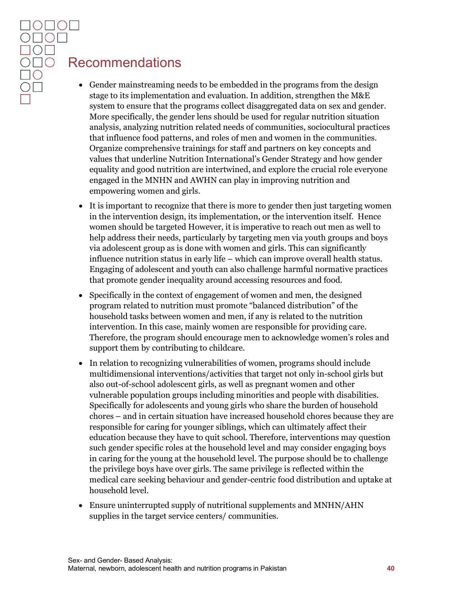# <span id="page-40-0"></span>Recommendations

- Gender mainstreaming needs to be embedded in the programs from the design stage to its implementation and evaluation. In addition, strengthen the M&E system to ensure that the programs collect disaggregated data on sex and gender. More specifically, the gender lens should be used for regular nutrition situation analysis, analyzing nutrition related needs of communities, sociocultural practices that influence food patterns, and roles of men and women in the communities. Organize comprehensive trainings for staff and partners on key concepts and values that underline Nutrition International's Gender Strategy and how gender equality and good nutrition are intertwined, and explore the crucial role everyone engaged in the MNHN and AWHN can play in improving nutrition and empowering women and girls.
- It is important to recognize that there is more to gender then just targeting women in the intervention design, its implementation, or the intervention itself. Hence women should be targeted However, it is imperative to reach out men as well to help address their needs, particularly by targeting men via youth groups and boys via adolescent group as is done with women and girls. This can significantly influence nutrition status in early life – which can improve overall health status. Engaging of adolescent and youth can also challenge harmful normative practices that promote gender inequality around accessing resources and food.
- Specifically in the context of engagement of women and men, the designed program related to nutrition must promote "balanced distribution" of the household tasks between women and men, if any is related to the nutrition intervention. In this case, mainly women are responsible for providing care. Therefore, the program should encourage men to acknowledge women's roles and support them by contributing to childcare.
- In relation to recognizing vulnerabilities of women, programs should include multidimensional interventions/activities that target not only in-school girls but also out-of-school adolescent girls, as well as pregnant women and other vulnerable population groups including minorities and people with disabilities. Specifically for adolescents and young girls who share the burden of household chores – and in certain situation have increased household chores because they are responsible for caring for younger siblings, which can ultimately affect their education because they have to quit school. Therefore, interventions may question such gender specific roles at the household level and may consider engaging boys in caring for the young at the household level. The purpose should be to challenge the privilege boys have over girls. The same privilege is reflected within the medical care seeking behaviour and gender-centric food distribution and uptake at household level.
- Ensure uninterrupted supply of nutritional supplements and MNHN/AHN supplies in the target service centers/ communities.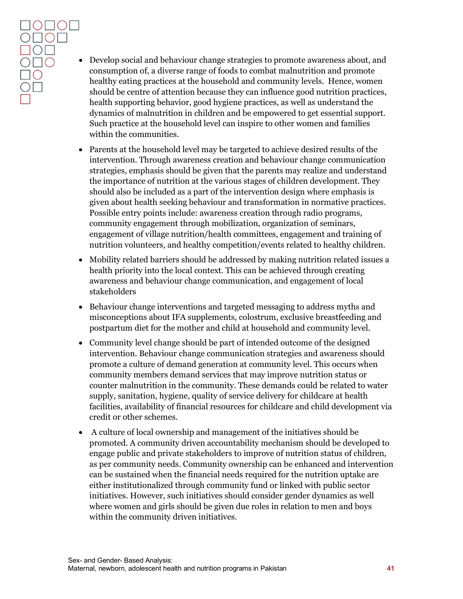- Develop social and behaviour change strategies to promote awareness about, and consumption of, a diverse range of foods to combat malnutrition and promote healthy eating practices at the household and community levels. Hence, women should be centre of attention because they can influence good nutrition practices, health supporting behavior, good hygiene practices, as well as understand the dynamics of malnutrition in children and be empowered to get essential support. Such practice at the household level can inspire to other women and families within the communities.
- Parents at the household level may be targeted to achieve desired results of the intervention. Through awareness creation and behaviour change communication strategies, emphasis should be given that the parents may realize and understand the importance of nutrition at the various stages of children development. They should also be included as a part of the intervention design where emphasis is given about health seeking behaviour and transformation in normative practices. Possible entry points include: awareness creation through radio programs, community engagement through mobilization, organization of seminars, engagement of village nutrition/health committees, engagement and training of nutrition volunteers, and healthy competition/events related to healthy children.
- Mobility related barriers should be addressed by making nutrition related issues a health priority into the local context. This can be achieved through creating awareness and behaviour change communication, and engagement of local stakeholders
- Behaviour change interventions and targeted messaging to address myths and misconceptions about IFA supplements, colostrum, exclusive breastfeeding and postpartum diet for the mother and child at household and community level.
- Community level change should be part of intended outcome of the designed intervention. Behaviour change communication strategies and awareness should promote a culture of demand generation at community level. This occurs when community members demand services that may improve nutrition status or counter malnutrition in the community. These demands could be related to water supply, sanitation, hygiene, quality of service delivery for childcare at health facilities, availability of financial resources for childcare and child development via credit or other schemes.
- A culture of local ownership and management of the initiatives should be promoted. A community driven accountability mechanism should be developed to engage public and private stakeholders to improve of nutrition status of children, as per community needs. Community ownership can be enhanced and intervention can be sustained when the financial needs required for the nutrition uptake are either institutionalized through community fund or linked with public sector initiatives. However, such initiatives should consider gender dynamics as well where women and girls should be given due roles in relation to men and boys within the community driven initiatives.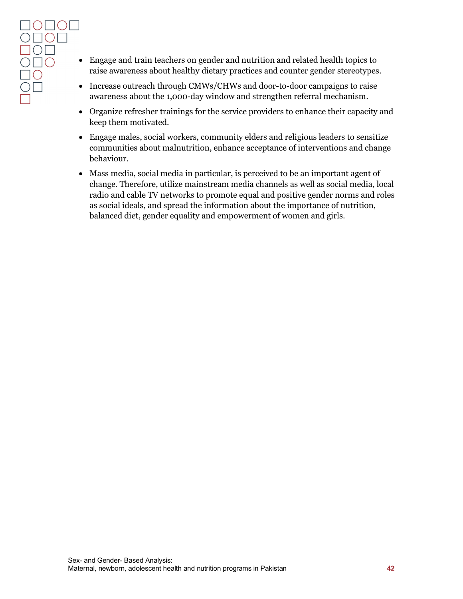- Engage and train teachers on gender and nutrition and related health topics to raise awareness about healthy dietary practices and counter gender stereotypes.
- Increase outreach through CMWs/CHWs and door-to-door campaigns to raise awareness about the 1,000-day window and strengthen referral mechanism.
- Organize refresher trainings for the service providers to enhance their capacity and keep them motivated.
- Engage males, social workers, community elders and religious leaders to sensitize communities about malnutrition, enhance acceptance of interventions and change behaviour.
- Mass media, social media in particular, is perceived to be an important agent of change. Therefore, utilize mainstream media channels as well as social media, local radio and cable TV networks to promote equal and positive gender norms and roles as social ideals, and spread the information about the importance of nutrition, balanced diet, gender equality and empowerment of women and girls.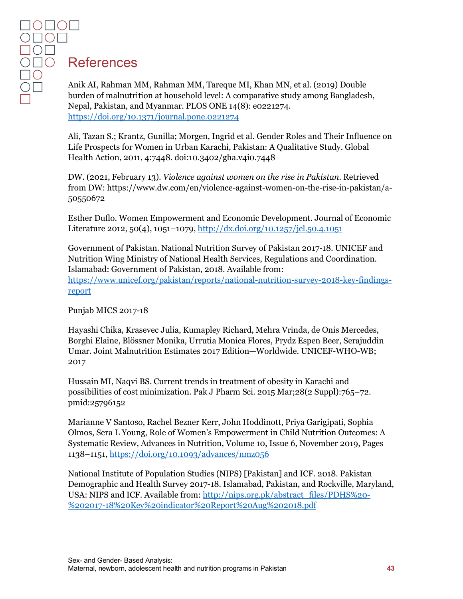# <span id="page-43-0"></span>References

Anik AI, Rahman MM, Rahman MM, Tareque MI, Khan MN, et al. (2019) Double burden of malnutrition at household level: A comparative study among Bangladesh, Nepal, Pakistan, and Myanmar. PLOS ONE 14(8): e0221274. <https://doi.org/10.1371/journal.pone.0221274>

Ali, Tazan S.; Krantz, Gunilla; Morgen, Ingrid et al. Gender Roles and Their Influence on Life Prospects for Women in Urban Karachi, Pakistan: A Qualitative Study. Global Health Action, 2011, 4:7448. doi:10.3402/gha.v4i0.7448

DW. (2021, February 13). *Violence against women on the rise in Pakistan.* Retrieved from DW: https://www.dw.com/en/violence-against-women-on-the-rise-in-pakistan/a-50550672

Esther Duflo. Women Empowerment and Economic Development. Journal of Economic Literature 2012, 50(4), 1051–1079[, http://dx.doi.org/10.1257/jel.50.4.1051](http://dx.doi.org/10.1257/jel.50.4.1051)

Government of Pakistan. National Nutrition Survey of Pakistan 2017-18. UNICEF and Nutrition Wing Ministry of National Health Services, Regulations and Coordination. Islamabad: Government of Pakistan, 2018. Available from:

[https://www.unicef.org/pakistan/reports/national-nutrition-survey-2018-key-findings](https://www.unicef.org/pakistan/reports/national-nutrition-survey-2018-key-findings-report)[report](https://www.unicef.org/pakistan/reports/national-nutrition-survey-2018-key-findings-report) 

Punjab MICS 2017-18

Hayashi Chika, Krasevec Julia, Kumapley Richard, Mehra Vrinda, de Onis Mercedes, Borghi Elaine, Blössner Monika, Urrutia Monica Flores, Prydz Espen Beer, Serajuddin Umar. Joint Malnutrition Estimates 2017 Edition—Worldwide. UNICEF-WHO-WB; 2017

Hussain MI, Naqvi BS. Current trends in treatment of obesity in Karachi and possibilities of cost minimization. Pak J Pharm Sci. 2015 Mar;28(2 Suppl):765–72. pmid:25796152

Marianne V Santoso, Rachel Bezner Kerr, John Hoddinott, Priya Garigipati, Sophia Olmos, Sera L Young, Role of Women's Empowerment in Child Nutrition Outcomes: A Systematic Review, Advances in Nutrition, Volume 10, Issue 6, November 2019, Pages 1138–1151,<https://doi.org/10.1093/advances/nmz056>

National Institute of Population Studies (NIPS) [Pakistan] and ICF. 2018. Pakistan Demographic and Health Survey 2017-18. Islamabad, Pakistan, and Rockville, Maryland, USA: NIPS and ICF. Available from: [http://nips.org.pk/abstract\\_files/PDHS%20-](http://nips.org.pk/abstract_files/PDHS%20-%202017-18%20Key%20indicator%20Report%20Aug%202018.pdf) [%202017-18%20Key%20indicator%20Report%20Aug%202018.pdf](http://nips.org.pk/abstract_files/PDHS%20-%202017-18%20Key%20indicator%20Report%20Aug%202018.pdf)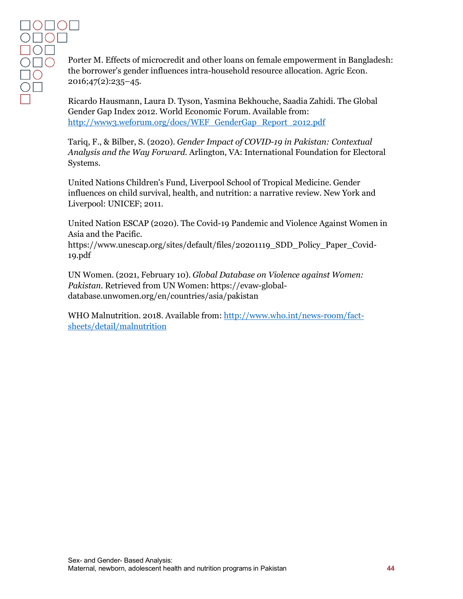Porter M. Effects of microcredit and other loans on female empowerment in Bangladesh: the borrower's gender influences intra-household resource allocation. Agric Econ. 2016;47(2):235–45.

Ricardo Hausmann, Laura D. Tyson, Yasmina Bekhouche, Saadia Zahidi. The Global Gender Gap Index 2012. World Economic Forum. Available from: [http://www3.weforum.org/docs/WEF\\_GenderGap\\_Report\\_2012.pdf](http://www3.weforum.org/docs/WEF_GenderGap_Report_2012.pdf) 

Tariq, F., & Bilber, S. (2020). *Gender Impact of COVID-19 in Pakistan: Contextual Analysis and the Way Forward.* Arlington, VA: International Foundation for Electoral Systems.

United Nations Children's Fund, Liverpool School of Tropical Medicine. Gender influences on child survival, health, and nutrition: a narrative review. New York and Liverpool: UNICEF; 2011.

United Nation ESCAP (2020). The Covid-19 Pandemic and Violence Against Women in Asia and the Pacific.

https://www.unescap.org/sites/default/files/20201119\_SDD\_Policy\_Paper\_Covid-19.pdf

UN Women. (2021, February 10). *Global Database on Violence against Women: Pakistan.* Retrieved from UN Women: https://evaw-globaldatabase.unwomen.org/en/countries/asia/pakistan

WHO Malnutrition. 2018. Available from: [http://www.who.int/news-room/fact](http://www.who.int/news-room/fact-sheets/detail/malnutrition)[sheets/detail/malnutrition](http://www.who.int/news-room/fact-sheets/detail/malnutrition)